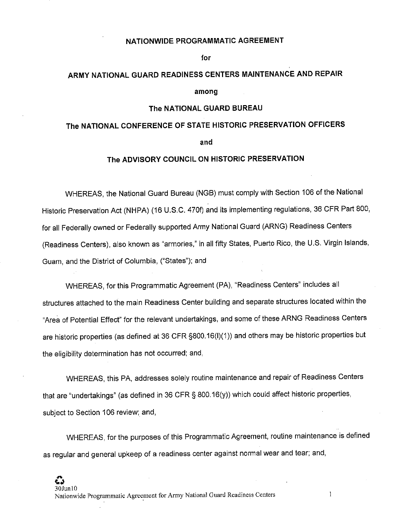#### **NATIONWIDE PROGRAMMATIC AGREEMENT**

**for** 

# **ARMY NATIONAL GUARD READINESS CENTERS MAINTENANCE AND REPAIR**

**among** 

#### **The NATIONAL GUARD BUREAU**

# **The NATIONAL CONFERENCE OF STATE HISTORIC PRESERVATION OFFICERS and**

## **The ADVISORY COUNCIL ON HISTORIC PRESERVATION**

WHEREAS, the National Guard Bureau (NGB) must comply with Section 106 of the National Historic Preservation Act (NHPA) (16 U.S.C. 470f) and its implementing regulations, 36 CFR Part 800, for all Federally owned or Federally supported Army National Guard (ARNG) Readiness Centers (Readiness Centers), also known as "armories," in all fifty States, Puerto Rico, the U.S. Virgin Islands, Guam, and the District of Columbia, ("States"); and

WHEREAS, for this Programmatic Agreement (PA), "Readiness Centers" includes all structures attached to the main Readiness Center building and separate structures located within the "Area of Potential Effect" for the relevant undertakings, and some of these ARNG Readiness Centers are historic properties (as defined at 36 CFR §800.16(1)(1 )) and others may be historic properties but the eligibility determination has not occurred; and,

WHEREAS, this PA, addresses solely routine maintenance and repair of Readiness Centers that are "undertakings" (as defined in 36 CFR § 800.16(y)) which could affect historic properties, subject to Section 106 review; and,

WHEREAS, for the purposes of this Programmatic Agreement, routine maintenance is defined as regular and general upkeep of a readiness center against normal wear and tear; and,

 $\mathbf{1}$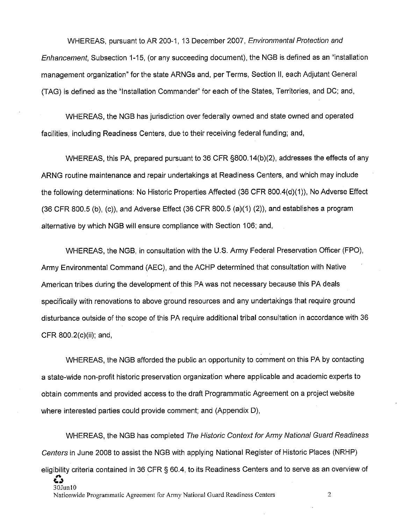WHEREAS, pursuant to AR 200-1, 13 December 2007, Environmental Protection and Enhancement, Subsection 1-15, (or any succeeding document), the NGB is defined as an "installation management organization" for the state ARNGs and, per Terms, Section II, each Adjutant General (TAG) is defined as the "Installation Commander" for each of the States, Territories, and DC; and,

WHEREAS, the NGB has jurisdiction over federally owned and state owned and operated facilities, including Readiness Centers, due to their receiving federal funding; and,

WHEREAS, this PA, prepared pursuant to 36 CFR §800.14(b)(2), addresses the effects of any ARNG routine maintenance and repair undertakings at Readiness Centers, and which may include the following determinations: No Historic Properties Affected (36 CFR 800.4(d)(1)), No Adverse Effect (36 CFR 800.5 (b), (c)), and Adverse Effect (36 CFR 800.5 (a)(1) (2)), and establishes a program alternative by which NGB will ensure compliance with Section 106; and,

WHEREAS, the NGB, in consultation with the U.S. Army Federal Preservation Officer (FPO), Army Environmental Command (AEC), and the ACHP determined that consultation with Native American tribes during the development of this PA was not necessary because this PA deals specifically with renovations to above ground resources and any undertakings that require ground disturbance outside of the scope of this PA require additional tribal consultation in accordance with 36 CFR 800.2(c)(ii); and,

WHEREAS, the NGB afforded the public an opportunity to comment on this PA by contacting a state-wide non-profit historic preservation organization where applicable and academic experts to obtain comments and provided access to the draft Programmatic Agreement on a project website where interested parties could provide comment; and (Appendix D),

WHEREAS, the NGB has completed The Historic Context for Army National Guard Readiness Centers in June 2008 to assist the NGB with applying National Register of Historic Places (NRHP) eligibility criteria contained in 36 CFR § 60.4, to its Readiness Centers and to serve as an overview of

**CJ**  30Junl0

Nationwide Programmatic Agreement for Army National Guard Readiness Centers 2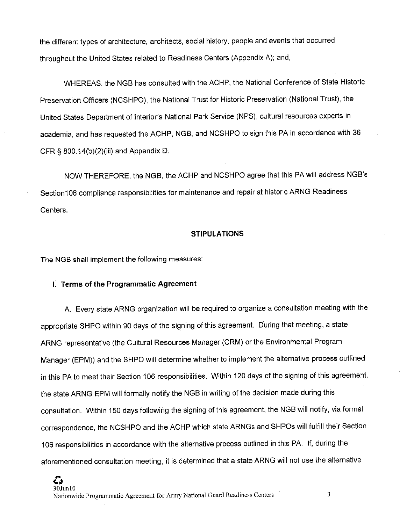the different types of architecture, architects, social history, people and events that occurred throughout the United States related to Readiness Centers (Appendix A); and,

WHEREAS, the NGB has consulted with the ACHP, the National Conference of State Historic Preservation Officers (NCSHPO), the National Trust for Historic Preservation (National Trust), the United States Department of Interior's National Park Service (NPS), cultural resources experts in academia, and has requested the ACHP, NGB, and NCSHPO to sign this PA in accordance with 36 CFR § 800.14(b)(2)(iii) and Appendix D.

NOW THEREFORE, the NGB, the ACHP and NCSHPO agree that this PA will address NGB's Section106 compliance responsibilities for maintenance and repair at historic ARNG Readiness Centers.

#### **STIPULATIONS**

The NGB shall implement the following measures:

#### **I. Terms of the Programmatic Agreement**

A. Every state ARNG organization will be required to organize a consultation meeting with the appropriate SHPO within 90 days of the signing of this agreement. During that meeting, a state ARNG representative (the Cultural Resources Manager (CRM) or the Environmental Program Manager (EPM)) and the SHPO will determine whether to implement the alternative process outlined in this PA to meet their Section 106 responsibilities. Within 120 days of the signing of this agreement, the state ARNG EPM will formally notify the NGB in writing of the decision made during this consultation. Within 150 days following the signing of this agreement, the NGB will notify, via formal correspondence, the NCSHPO and the ACHP which state ARNGs and SHPOs will fulfill their Section 106 responsibilities in accordance with the alternative process outlined in this PA. If, during the aforementioned consultation meeting, it is determined that a state ARNG will not use the alternative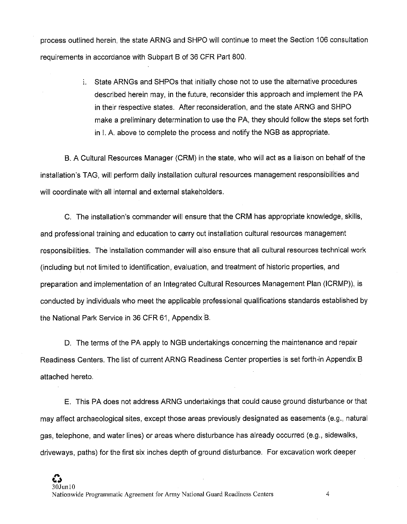process outlined herein, the state ARNG and SHPO will continue to meet the Section 106 consultation requirements in accordance with Subpart B of 36 CFR Part 800.

> i. State ARNGs and SHPOs that initially chose not to use the alternative procedures described herein may, in the future, reconsider this approach and implement the PA in their respective states. After reconsideration, and the state ARNG and SHPO make a preliminary determination to use the PA, they should follow the steps set forth in I. A above to complete the process and notify the NGB as appropriate.

B. A Cultural Resources Manager (CRM) in the state, who will act as a liaison on behalf of the installation's TAG, will perform daily installation cultural resources management responsibilities and will coordinate with all internal and external stakeholders.

C. The installation's commander will ensure that the CRM has appropriate knowledge, skills, and professional training and education to carry out installation cultural resources management responsibilities. The installation commander will also ensure that all cultural resources technical work (including but not limited to identification, evaluation, and treatment of historic properties, and preparation and implementation of an Integrated Cultural Resources Management Plan (ICRMP)), is conducted by individuals who meet the applicable professional qualifications standards established by the National Park Service in 36 CFR 61, Appendix B.

D. The terms of the PA apply to NGB undertakings concerning the maintenance and repair Readiness Centers. The list of current ARNG Readiness Center properties is set forth-in Appendix B attached hereto.

E. This PA does not address ARNG undertakings that could cause ground disturbance or that may affect archaeological sites, except those areas previously designated as easements (e.g., natural gas, telephone, and water lines) or areas where disturbance has already occurred (e.g., sidewalks, driveways, paths) for the first six inches depth of ground disturbance. For excavation work deeper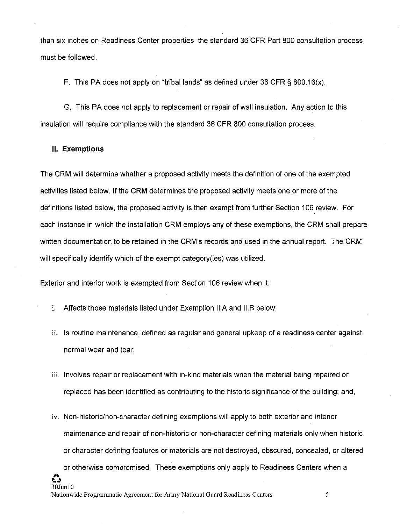than six inches on Readiness Center properties, the standard 36 CFR Part 800 consultation process must be followed.

F. This PA does not apply on "tribal lands" as defined under 36 CFR § 800.16(x).

G. This PA does not apply to replacement or repair of wall insulation. Any action to this insulation will require compliance with the standard 36 CFR 800 consultation process.

#### **II. Exemptions**

The CRM will determine whether a proposed activity meets the definition of one of the exempted activities listed below. If the CRM determines the proposed activity meets one or more of the definitions listed below, the proposed activity is then exempt from further Section 106 review. For each instance in which the installation CRM employs any of these exemptions, the CRM shall prepare written documentation to be retained in the CRM's records and used in the annual report. The CRM will specifically identify which of the exempt category(ies) was utilized.

Exterior and interior work is exempted from Section 106 review when it:

- i. Affects those materials listed under Exemption II.A and 11.B below;
- ii. Is routine maintenance, defined as regular and general upkeep of a readiness center against normal wear and tear;
- iii. Involves repair or replacement with in-kind materials when the material being repaired or replaced has been identified as contributing to the historic significance of the building; and,
- iv. Non-historic/non-character defining exemptions will apply to both exterior and interior maintenance and repair of non-historic or non-character defining materials only when historic or character defining features or materials are not destroyed, obscured, concealed, or altered or otherwise compromised. These exemptions only apply to Readiness Centers when a **G**  30Junl0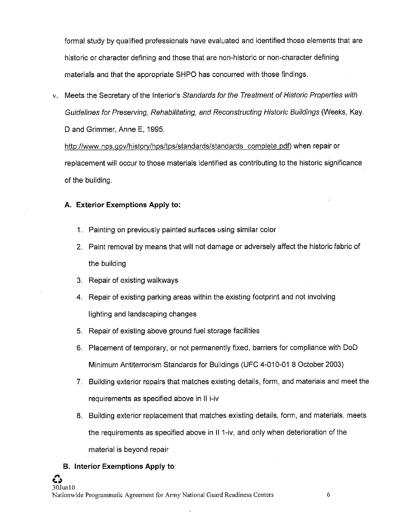formal study by qualified professionals have evaluated and identified those elements that are historic or character defining and those that are non-historic or non-character defining materials and that the appropriate SHPO has concurred with those findings.

v. Meets the Secretary of the Interior's Standards for the Treatment of Historic Properties with Guidelines for Preserving, Rehabilitating, and Reconstructing Historic Buildings (Weeks, Kay. D and Grimmer, Anne E, 1995,

http://www.nps.gov/history/hps/tps/standards/standards complete.pdf) when repair or replacement will occur to those materials identified as contributing to the historic significance of the building.

#### **A. Exterior Exemptions Apply to:**

- 1. Painting on previously painted surfaces using similar color
- 2. Paint removal by means that will not damage or adversely affect the historic fabric of the building
- 3. Repair of existing walkways
- 4. Repair of existing parking areas within the existing footprint and not involving lighting and landscaping changes
- 5. Repair of existing above ground fuel storage facilities
- 6. Placement of temporary, or not permanently fixed, barriers for compliance with DoD Minimum Antiterrorism Standards for Buildings (UFC 4-010-01 8 October 2003)
- 7. Building exterior repairs that matches existing details, form, and materials and meet the requirements as specified above in II i-iv
- 8. Building exterior replacement that matches existing details, form, and materials, meets the requirements as specified above in II 1-iv, and only when deterioration of the material is beyond repair

## **B. Interior Exemptions Apply to:**

**#1,**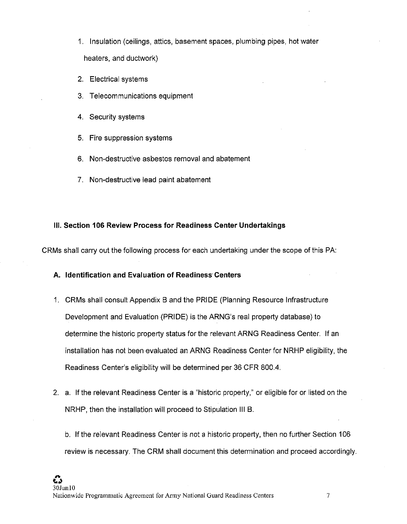- 1. Insulation (ceilings, attics, basement spaces, plumbing pipes, hot water heaters, and ductwork)
- 2. Electrical systems
- 3. Telecommunications equipment
- 4. Security systems
- 5. Fire suppression systems
- 6. Non-destructive asbestos removal and abatement
- 7. Non-destructive lead paint abatement

#### **Ill. Section 106 Review Process for Readiness Center Undertakings**

CRMs shall carry out the following process for each undertaking under the scope of this PA:

**A. Identification and Evaluation of Readiness· Centers** 

- 1. CRMs shall consult Appendix Band the PRIDE (Planning Resource Infrastructure Development and Evaluation (PRIDE) is the ARNG's real property database) to determine the historic property status for the relevant ARNG Readiness Center. If an installation has not been evaluated an ARNG Readiness Center for NRHP eligibility, the Readiness Center's eligibility will be determined per 36 CFR 800.4.
- 2. a. If the relevant Readiness Center is a "historic property," or eligible for or listed on the NRHP, then the installation will proceed to Stipulation Ill B.
	- b. If the relevant Readiness Center is not a historic property, then no further Section 106 review is necessary. The CRM shall document this determination and proceed accordingly.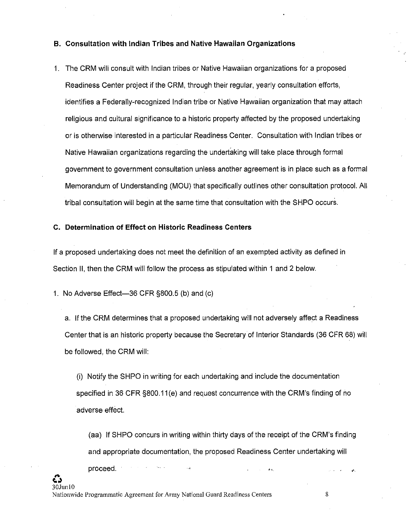#### **B. Consultation with Indian Tribes and Native Hawaiian Organizations**

1. The CRM will consult with Indian tribes or Native Hawaiian organizations for a proposed Readiness Center project if the CRM, through their regular, yearly consultation efforts, identifies a Federally-recognized Indian tribe or Native Hawaiian organization that may attach religious and cultural significance to a historic property affected by the proposed undertaking or is otherwise interested in a particular Readiness Center. Consultation with Indian tribes or Native Hawaiian organizations regarding the undertaking will take place through formal government to government consultation unless another agreement is in place such as a formal Memorandum of Understanding (MOU) that specifically outlines other consultation protocol. All tribal consultation will begin at the same time that consultation with the SHPO occurs.

#### **C. Determination of Effect on Historic Readiness Centers**

If a proposed undertaking does not meet the definition of an exempted activity as defined in Section II, then the CRM will follow the process as stipulated within 1 and 2 below.

1. No Adverse Effect-36 CFR §800.5 (b) and (c)

a. If the CRM determines that a proposed undertaking will not adversely affect a Readiness Center that is an historic property because the Secretary of Interior Standards (36 CFR 68) will be followed, the CRM will:

(i) Notify the SHPO in writing for each undertaking and include the documentation specified in 36 CFR §800.11 (e) and request concurrence with the CRM's finding of no adverse effect.

(aa) If SHPO concurs in writing within thirty days of the receipt of the CRM's finding and appropriate documentation, the proposed Readiness Center undertaking will proceed. . .,.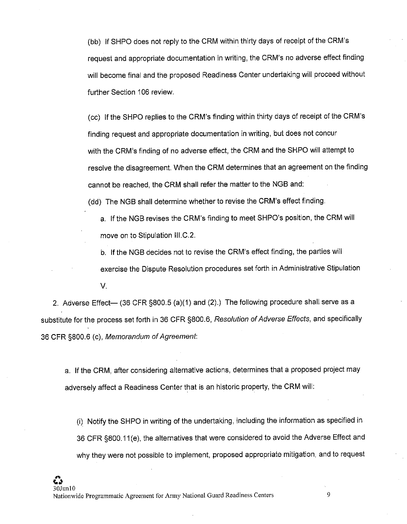(bb) If SHPO does not reply to the CRM within thirty days of receipt of the CRM's request and appropriate documentation in writing, the CRM's no adverse effect finding will become final and the proposed Readiness Center undertaking will proceed without further Section 106 review.

(cc) If the SHPO replies to the CRM's finding within thirty days of receipt of the CRM's finding request and appropriate documentation in writing, but does not concur with the CRM's finding of no adverse effect, the CRM and the SHPO will attempt to resolve the disagreement. When the CRM determines that an agreement on the finding cannot be reached, the CRM shall refer the matter to the NGB and:

(dd) The NGB shall determine whether to revise the CRM's effect finding.

a. If the NGB revises the CRM's finding to meet SHPO's position, the CRM will move on to Stipulation III.C.2.

b. If the NGB decides not to revise the CRM's effect finding, the parties will exercise the Dispute Resolution procedures set forth in Administrative Stipulation V.

2. Adverse Effect- (36 CFR §800.5 (a)(1) and (2).) The following procedure shall serve as a substitute for the process set forth in 36 CFR §800.6, Resolution of Adverse Effects, and specifically 36 CFR §800.6 (c), Memorandum of Agreement:

a. If the CRM, after considering alternative actions, determines that a proposed project may adversely affect a Readiness Center that is an historic property, the CRM will:

(i) Notify the SHPO in writing of the undertaking, including the information as specified in 36 CFR §800.11 (e), the alternatives that were considered to avoid the Adverse Effect and why they were not possible to implement, proposed appropriate mitigation, and to request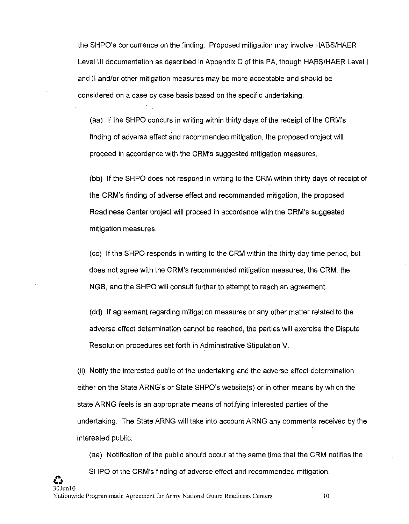the SHPO's concurrence on the finding. Proposed mitigation may involve HASS/HAER Level Ill documentation as described in Appendix C of this PA, though HASS/HAER Level I and II and/or other mitigation measures may be more acceptable and should be considered on a case by case basis based on the specific undertaking.

(aa) If the SHPO concurs in writing within thirty days of the receipt of the CRM's finding of adverse effect and recommended mitigation, the proposed project will proceed in accordance with the CRM's suggested mitigation measures.

(bb) If the SHPO does not respond in writing to the CRM within thirty days of receipt of the CRM's finding of adverse effect and recommended mitigation, the proposed Readiness Center project will proceed in accordance with the CRM's suggested mitigation measures.

(cc) If the SHPO responds in writing to the CRM within the thirty day time period, but does not agree with the CRM's recommended mitigation measures, the CRM, the NGS, and the SHPO will consult further to attempt to reach an agreement.

(dd) If agreement regarding mitigation measures or any other matter related to the adverse effect determination cannot be reached, the parties will exercise the Dispute Resolution procedures set forth in Administrative Stipulation V.

(ii) Notify the interested public of the undertaking and the adverse effect determination either on the State ARNG's or State SHPO's website(s) or in other means by which the state ARNG feels is an appropriate means of notifying interested parties of the undertaking. The State ARNG will take into account ARNG any comments received by the interested public.

30Jun10 (aa) Notification of the public should occur at the same time that the CRM notifies the SHPO of the CRM's finding of adverse effect and recommended mitigation.

*e~*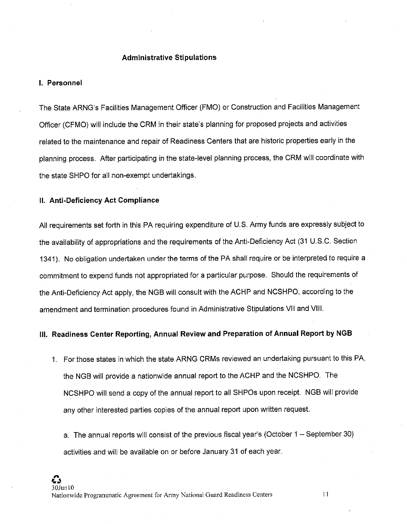#### **Administrative Stipulations**

#### **I. Personnel**

The State ARNG's Facilities Management Officer (FMO) or Construction and Facilities Management Officer (CFMO) will include the CRM in their state's planning for proposed projects and activities related to the maintenance and repair of Readiness Centers that are historic properties early in the planning process. After participating in the state-level planning process, the CRM will coordinate with the state SHPO for all non-exempt undertakings.

#### **II. Anti-Deficiency Act Compliance**

All requirements set forth in this PA requiring expenditure of U.S. Army funds are expressly subject to the availability of appropriations and the requirements of the Anti-Deficiency Act (31 U.S.C. Section 1341). No obligation undertaken under the terms of the PA shall require or be interpreted to require a commitment to expend funds not appropriated for a particular purpose. Should the requirements of the Anti-Deficiency Act apply, the NGB will consult with the ACHP and NCSHPO, according to the amendment and termination procedures found in Administrative Stipulations VII and VIII.

## **Ill. Readiness Center Reporting, Annual Review and Preparation of Annual Report by NGB**

1. For those states in which the state ARNG CRMs reviewed an undertaking pursuant to this PA, the NGB will provide a nationwide annual report to the ACHP and the NCSHPO. The NCSHPO will send a copy of the annual report to all SHPOs upon receipt. NGB will provide any other interested parties copies of the annual report upon written request.

a. The annual reports will consist of the previous fiscal year's (October 1 - September 30) activities and will be available on or before January 31 of each year.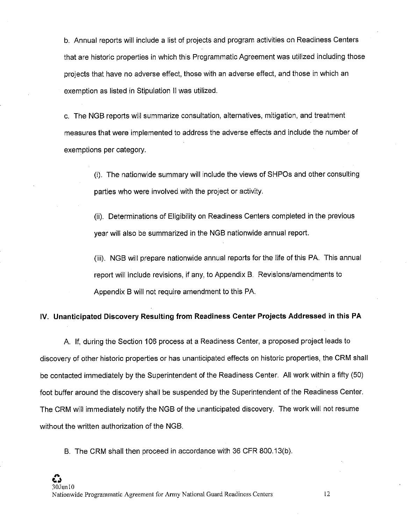b. Annual reports will include a list of projects and program activities on Readiness Centers that are historic properties in which this Programmatic Agreement was utilized including those projects that have no adverse effect, those with an adverse effect, and those in which an exemption as listed in Stipulation II was utilized.

c. The NGB reports will summarize consultation, alternatives, mitigation, and treatment measures that were implemented to address the adverse effects and include the number of exemptions per category.

> (i). The nationwide summary will include the views of SHPOs and other consulting parties who were involved with the project or activity.

(ii). Determinations of Eligibility on Readiness Centers completed in the previous year will also be summarized in the NGB nationwide annual report.

(iii). NGB will prepare nationwide annual reports for the life of this PA. This annual report will include revisions, if any, to Appendix B. Revisions/amendments to Appendix B will not require amendment to this PA.

### **IV. Unanticipated Discovery Resulting from Readiness Center Projects Addressed in this PA**

A. If, during the Section 106 process at a Readiness Center, a proposed project leads to discovery of other historic properties or has unanticipated effects on historic properties, the CRM shall be contacted immediately by the Superintendent of the Readiness Center. All work within a fifty (50) foot buffer around the discovery shall be suspended by the Superintendent of the Readiness Center. The CRM will immediately notify the NGB of the unanticipated discovery. The work will not resume without the written authorization of the NGB.

B. The CRM shall then proceed in accordance with 36 CFR 800.13(b).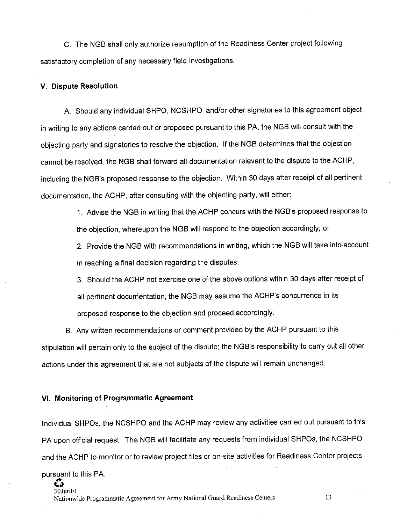C. The NGB shall only authorize resumption of the Readiness Center project following satisfactory completion of any necessary field investigations.

#### **V. Dispute Resolution**

A. Should any individual SHPO, NCSHPO, and/or other signatories to this agreement object in writing to any actions carried out or proposed pursuant to this PA, the NGB will consult with the objecting party and signatories to resolve the objection. If the NGB determines that the objection cannot be resolved, the NGB shall forward all documentation relevant to the dispute to the ACHP, including the NGB's proposed response to the objection. Within 30 days after receipt of all pertinent documentation, the ACHP, after consulting with the objecting party, will either:

> 1. Advise the NGB in writing that the ACHP concurs with the NGB's proposed response to the objection, whereupon the NGB will respond to the objection accordingly; or

> 2. Provide the NGB with recommendations in writing, which the NGB will take into-account in reaching a final decision regarding the disputes.

3. Should the ACHP not exercise one of the above options within 30 days after receipt of all pertinent documentation, the NGB may assume the ACHP's concurrence in its proposed response to the objection and proceed accordingly.

B. Any written recommendations or comment provided by the ACHP pursuant to this stipulation will pertain only to the subject of the dispute; the NGB's responsibility to carry out all other actions under this agreement that are not subjects of the dispute will remain unchanged.

#### **VI. Monitoring of Programmatic Agreement**

Individual SHPOs, the NCSHPO and the ACHP may review any activities carried out pursuant to this PA upon official request. The NGB will facilitate any requests from individual SHPOs, the NCSHPO and the ACHP to monitor or to review project files or on-site activities for Readiness Center projects pursuant to this PA.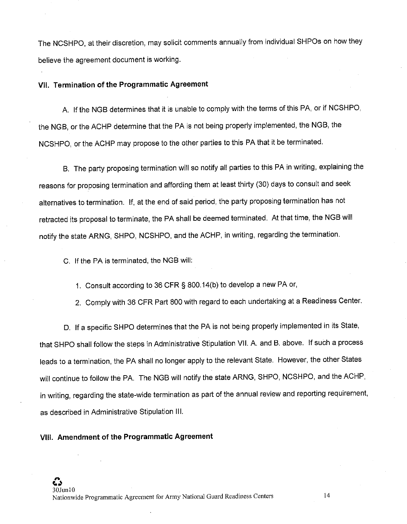The NCSHPO, at their discretion, may solicit comments annually from individual SHPOs on how they believe the agreement document is working.

### **VII. Termination of the Programmatic Agreement**

A. If the NGB determines that it is unable to comply with the terms of this PA, or if NCSHPO, the NGB, or the ACHP determine that the PA is not being properly implemented, the NGB, the NCSHPO, or the ACHP may propose to the other parties to this PA that it be terminated.

B. The party proposing termination will so notify all parties to this PA in writing, explaining the reasons for proposing termination and affording them at least thirty (30) days to consult and seek alternatives to termination. If, at the end of said period, the party proposing termination has not retracted its proposal to terminate, the PA shall be deemed terminated. At that time, the NGB will notify the state ARNG, SHPO, NCSHPO, and the ACHP, in writing, regarding the termination.

C. If the PA is terminated, the NGB will:

1. Consult according to 36 CFR § 800.14(b) to develop a new PA or,

2. Comply with 36 CFR Part 800 with regard to each undertaking at a Readiness Center.

D. If a specific SHPO determines that the PA is not being properly implemented in its State, that SHPO shall follow the steps in Administrative Stipulation VII. A. and B. above. If such a process leads to a termination, the PA shall no longer apply to the relevant State. However, the other States will continue to follow the PA. The NGB will notify the state ARNG, SHPO, NCSHPO, and the ACHP, in writing, regarding the state-wide termination as part of the annual review and reporting requirement, as described in Administrative Stipulation **111.** 

#### **VIII. Amendment of the Programmatic Agreement**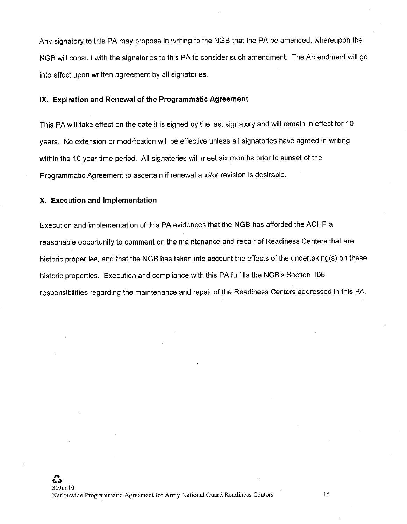Any signatory to this PA may propose in writing to the NGB that the PA be amended, whereupon the NGB will consult with the signatories to this PA to consider such amendment. The Amendment will go into effect upon written agreement by all signatories.

### **IX. Expiration and Renewal of the Programmatic Agreement**

This PA will take effect on the date it is signed by the last signatory and will remain in effect for 10 years. No extension or modification will be effective unless all signatories have agreed in writing within the 10 year time period. All signatories will meet six months prior to sunset of the Programmatic Agreement to ascertain if renewal and/or revision is desirable.

#### **X. Execution and Implementation**

Execution and implementation of this PA evidences that the NGB has afforded the ACHP a reasonable opportunity to comment on the maintenance and repair of Readiness Centers that are historic properties, and that the NGB has taken into account the effects of the undertaking(s) on these historic properties. Execution and compliance with this PA fulfills the NGB's Section 106 responsibilities regarding the maintenance and repair of the Readiness Centers addressed in this PA.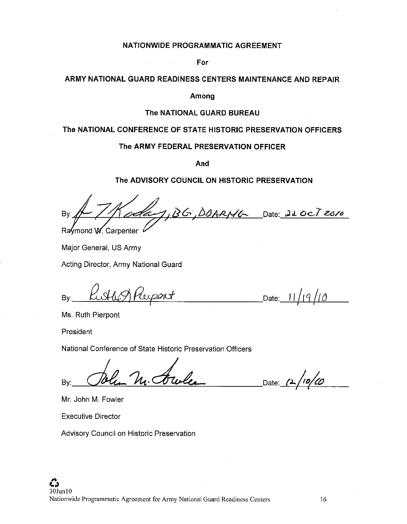#### **NATIONWIDE PROGRAMMATIC AGREEMENT**

**For** 

 $\mathcal{L}$ 

 $\mathcal{A}$ 

## **ARMY NATIONAL GUARD READINESS CENTERS MAINTENANCE AND REPAIR**

#### **Among**

#### **The NATIONAL GUARD BUREAU**

## **The NATIONAL CONFERENCE OF STATE HISTORIC PRESERVATION OFFICERS**

#### **The ARMY FEDERAL PRESERVATION OFFICER**

**And** 

## **The ADVISORY COUNCIL ON HISTORIC PRESERVATION**

BG, DOARNG Date 220CT 2010 By Raymond W. Carpenter

Major General, US Army

Acting Director, Army National Guard

By:\_...:.={]AMlJ=~/ ...µ\_fl\_.:.y:2+---:0'l\_cf \_\_\_\_\_\_ Date:.-----'-'ll'-+-/.L..Jr *qL.../-/.1...St CJ'-----*

Ms. Ruth Pierpont

President

National Conference of State Historic Preservation Officers

 $By:$  John M. Jowles Date: 1

Mr. John M. Fowler

Executive Director

Advisory Council on Historic Preservation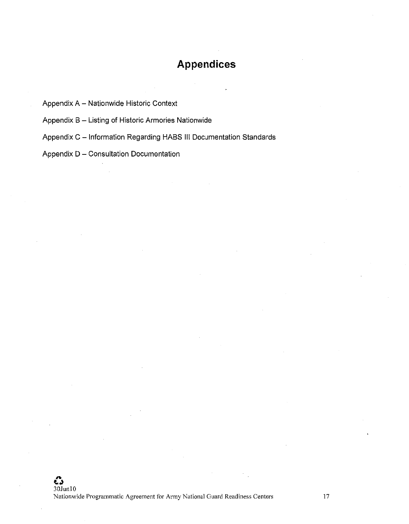# **Appendices**

Appendix A - Nationwide Historic Context

Appendix B - Listing of Historic Armories Nationwide

Appendix C - Information Regarding HABS III Documentation Standards

Appendix D - Consultation Documentation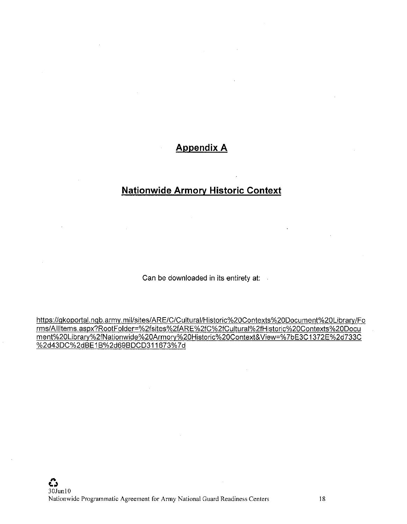## **Appendix A**

# **Nationwide Armory Historic Context**

Can be downloaded in its entirety at:

https://gkoportal.ngb.army.mil/sites/ARE/C/Cultural/Historic%20Contexts%20Document%20Library/Fo rms/Allltems.aspx?RootFolder=%2fsites%2fARE%2fC%2fCultural%2fHistoric%20Contexts%20Docu ment%20Library%2fNationwide%20Armory%20Historic%20Context& View=% 7bE3C 1372E%2d733C %2d43DC%2dBE1B%2d69BDCD311673%7d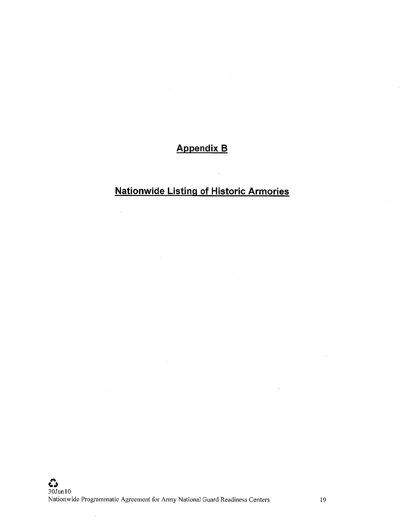# **Appendix B**

# **Nationwide listing of Historic Armories**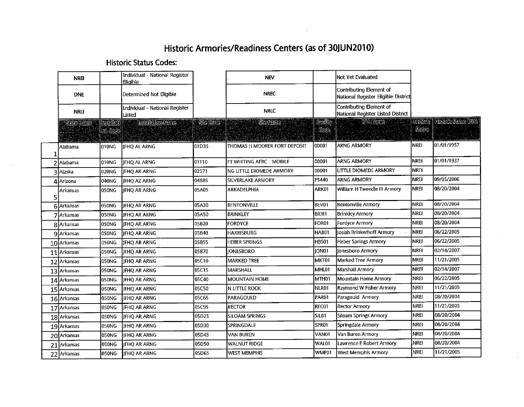# **Historic Armories/Readiness Centers (as of 30JUN2010)**

## **Historic Status Codes:**

 $\mathcal{L}^{\text{max}}$  and  $\mathcal{L}^{\text{max}}$ 

| NREI             |                        | Individual - National Register<br>Eligible |          | <b>NEV</b>                   |                   | INot Yet Evaluated                                             |                         |                           |
|------------------|------------------------|--------------------------------------------|----------|------------------------------|-------------------|----------------------------------------------------------------|-------------------------|---------------------------|
| <b>DNE</b>       |                        | Determined Not Eligible                    |          | <b>NREC</b>                  |                   | Contributing Element of<br>National Register Eligible District |                         |                           |
| <b>NRLI</b>      |                        | Individual - National Register<br>Listed   |          | <b>NRLC</b>                  |                   | Contributing Element of<br>National Register Listed District   |                         |                           |
| Sete Rante       | Inselletí<br> on Gocie | Installation Name                          | Sie Gode | <b>SigNanc</b>               | Fadliy<br>Gode    | <b>RANane</b>                                                  | Circoric<br><b>SEUC</b> | <b>Fisione Serve Date</b> |
| Alabama          | IO10NG                 | IFHO AL ARNG                               | 01D35    | THOMAS H MOORER FORT DEPOSIT | 00001             | <b>ARNG ARMORY</b>                                             | <b>NREI</b>             | 01/01/1957                |
| Alabama          | 010NG                  | <b>JFHQ AL ARNG</b>                        | 01F10    | FT WHITING AFRC MOBILE       | 00001             | <b>ARNG ARMORY</b>                                             | <b>NREI</b>             | 01/01/1937                |
| Alaska           | 020NG                  | <b>JFHQ AK ARNG</b>                        | 02571    | NG LITTLE DIOMEDE ARMORY     | 00001             | LITTLE DIOMEDE ARMORY                                          | <b>NREI</b>             |                           |
| <b>4</b> Arizona | 040NG                  | <b>IFHO AZ ARNG</b>                        | 04B85    | SILVERLAKE ARMORY            | P5440             | <b>ARNG ARMORY</b>                                             | <b>NREI</b>             | 09/05/2006                |
| Arkansas         | 050NG                  | JFHQ AR ARNG                               | 05A05    | ARKADELPHIA                  | ARK01             | William H Tweedle III Armory                                   | Inrei                   | 08/20/2004                |
| 6 Arkansas       | 050NG                  | <b>IFHO AR ARNG</b>                        | 05A30    | <b>BENTONVILLE</b>           | BEV01             | Bentonville Armory                                             | NREI                    | 08/20/2004                |
| 7 Arkansas       | 050NG                  | JFHQ AR ARNG                               | 05A50    | BRINKLEY                     | BRI01             | <b>Brinkley Armory</b>                                         | NREI                    | 08/20/2004                |
| 8 Arkansas       | 050NG                  | <b>JFHQ AR ARNG</b>                        | 05B20    | <b>FORDYCE</b>               | FOR <sub>01</sub> | <b>Fordvce Armory</b>                                          | NREI                    | 08/20/2004                |
| 9 Arkansas       | 050NG                  | <b>IFHQ AR ARNG</b>                        | 05B40    | HARRISBURG                   | HAB01             | Josiah Brinkerhoff Armory                                      | NREI                    | 06/22/2005                |
| 10 Arkansas      | 050NG                  | <b>JEHO AR ARNG</b>                        | 05B55    | <b>HEBER SPRINGS</b>         | HBS01             | <b>Heber Springs Armory</b>                                    | NREI                    | 06/22/2005                |
| $11$   Arkansas  | 050NG                  | <b>JEHO AR ARNG</b>                        | 05B70    | <b>IONESBORO</b>             | ION01             | Ionesboro Armory                                               | NREI                    | 02/14/2007                |
| 12 Arkansas      | 050NG                  | JFHQ AR ARNG                               | 05C10    | <b>MARKED TREE</b>           | MKT01             | <b>Marked Tree Armory</b>                                      | <b>NREI</b>             | 11/21/2005                |
| 13 Arkansas      | 050NG                  | <b>IFHO AR ARNG</b>                        | 05C15    | MARSHALL                     | MHL01             | <b>Marshall Armory</b>                                         | NREI                    | 02/14/2007                |
| 14 Arkansas      | 050NG                  | <b>JFHQ AR ARNG</b>                        | 05C40    | <b>MOUNTAIN HOME</b>         | MTH01             | <b>Mountain Home Armory</b>                                    | NREI                    | 06/22/2005                |
| 15 Arkansas      | 050NG                  | <b>IFHO AR ARNG</b>                        | 05C50    | IN LITTLE ROCK               | NLR01             | Raymond W Fisher Armory                                        | <b>NREI</b>             | 11/21/2005                |
| 16 Arkansas      | 050NG                  | <b>IFHO AR ARNG</b>                        | 05C65    | Iparagould                   | PAR01             | Paragould Armory                                               | NREI                    | 08/20/2004                |
| 17 Arkansas      | 050NG                  | IFHO AR ARNG                               | 05C95    | <b>RECTOR</b>                | REC01             | <b>Rector Armory</b>                                           | <b>NREI</b>             | 11/21/2005                |
| 18 Arkansas      | 050NG                  | <b>IFHO AR ARNG</b>                        | 05D25    | SILOAM SPRINGS               | SILO1             | Siloam Springs Armory                                          | <b>NREI</b>             | 08/20/2004                |
| 19 Arkansas      | OSONG)                 | JFHQ AR ARNG                               | 05D30    | SPRINGDALE                   | SPR01             | Springdale Armory                                              | NREI                    | 08/20/2004                |
| 20 Arkansas      | OSONG                  | JFHQ AR ARNG                               | 05D45    | <b>VAN BUREN</b>             | VAN01             | Van Buren Armory                                               | NREI                    | 08/20/2004                |
| 21 Arkansas      | 050NG                  | JFHQ AR ARNG                               | 05D50    | <b>WALNUT RIDGE</b>          | WAL01             | Lawrence E Robert Armory                                       | <b>NREI</b>             | 08/20/2004                |
| 22 Arkansas      | <b>050NG</b>           | JFHQ AR ARNG                               | 05D65    | WEST MEMPHIS                 | WMP01             | <b>West Memphis Armory</b>                                     | [NREJ                   | 11/21/2005                |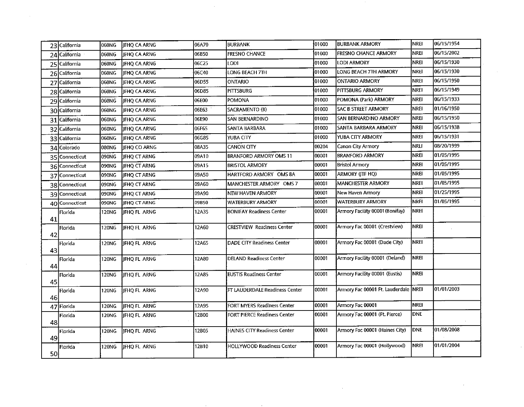|    | 23 California  | 060NG | JFHQ CA ARNG        | 06A70 | <b>BURBANK</b>                    | 01000 | <b>BURBANK ARMORY</b>                 | NREI        | 06/15/1954 |
|----|----------------|-------|---------------------|-------|-----------------------------------|-------|---------------------------------------|-------------|------------|
|    | 24 California  | 060NG | <b>JEHO CA ARNG</b> | 06B50 | <b>FRESNO CHANCE</b>              | 01000 | <b>FRESNO CHANCE ARMORY</b>           | <b>NREI</b> | 06/15/2002 |
|    | 25 California  | 060NG | JFHQ CA ARNG        | 06C25 | LODI                              | 01000 | LODI ARMORY                           | <b>NREI</b> | 06/15/1930 |
|    | 26 California  | 060NG | JFHQ CA ARNG        | 06C40 | LONG BEACH 7TH                    | 01000 | LONG BEACH 7TH ARMORY                 | <b>NREI</b> | 06/15/1930 |
|    | 27 California  | 060NG | JFHQ CA ARNG        | 06D55 | <b>ONTARIO</b>                    | 01000 | <b>ONTARIO ARMORY</b>                 | NREI        | 06/15/1950 |
|    | 28 California  | 060NG | JFHQ CA ARNG        | 06D85 | PITTSBURG                         | 01000 | PITTSBURG ARMORY                      | NREI        | 06/15/1949 |
|    | 29 California  | 060NG | JFHQ CA ARNG        | 06E00 | <b>POMONA</b>                     | 01000 | POMONA (Park) ARMORY                  | NREI        | 06/15/1933 |
|    | 30 California  | 060NG | JFHQ CA ARNG        | 06E63 | SACRAMENTO (B)                    | 01000 | <b>SAC B STREET ARMORY</b>            | <b>NREI</b> | 01/16/1950 |
|    | 31 California  | 060NG | <b>IFHO CA ARNG</b> | 06E90 | <b>SAN BERNARDINO</b>             | 01000 | SAN BERNARDINO ARMORY                 | <b>NREI</b> | 06/15/1950 |
|    | 32 California  | 060NG | JFHQ CA ARNG        | 06F65 | SANTA BARBARA                     | 01000 | SANTA BARBARA ARMORY                  | <b>NREI</b> | 06/15/1938 |
|    | 33 California  | 060NG | <b>IFHO CA ARNG</b> | 06G85 | YUBA CITY                         | 01000 | YUBA CITY ARMORY                      | <b>NREI</b> | 06/15/1931 |
|    | 34 Colorado    | 080NG | JFHQ CO ARNG        | 08A35 | CANON CITY                        | 00204 | Canon City Armory                     | <b>NRLI</b> | 08/20/1999 |
|    | 35 Connecticut | 090NG | <b>IFHQ CT ARNG</b> | 09A10 | <b>BRANFORD ARMORY OMS 11</b>     | 00001 | <b>BRANFORD ARMORY</b>                | <b>NREI</b> | 01/05/1995 |
|    | 36 Connecticut | 090NG | <b>IFHQ CT ARNG</b> | 09A15 | <b>BRISTOL ARMORY</b>             | 00001 | <b>Bristol Armory</b>                 | <b>NREI</b> | 01/05/1995 |
|    | 37 Connecticut | 090NG | JFHQ CT ARNG        | 09A50 | HARTFORD ARMORY OMS 8A            | 00001 | ARMORY (JTF HQ)                       | <b>NREI</b> | 01/05/1995 |
|    | 38 Connecticut | 090NG | JFHQ CT ARNG        | 09A60 | MANCHESTER ARMORY OMS 7           | 00001 | MANCHESTER ARMORY                     | <b>NREI</b> | 01/05/1995 |
|    | 39 Connecticut | 090NG | <b>IFHO CT ARNG</b> | 09A90 | NEW HAVEN ARMORY                  | 00001 | New Haven Armory                      | <b>NREI</b> | 01/25/1995 |
|    | 40 Connecticut | 090NG | <b>IFHQ CT ARNG</b> | 09B50 | <b>WATERBURY ARMORY</b>           | 00001 | <b>WATERBURY ARMORY</b>               | <b>NRFI</b> | 01/05/1995 |
| 41 | Florida        | 120NG | <b>JFHQ FL ARNG</b> | 12A35 | <b>BONIFAY Readiness Center</b>   | 00001 | Armory Facility 00001 (Bonifay)       | <b>NREI</b> |            |
| 42 | Florida        | 120NG | IFHO FL ARNG        | 12A60 | CRESTVIEW Readiness Center        | 00001 | Armory Fac 00001 (Crestview)          | <b>NREI</b> |            |
| 43 | Florida        | 120NG | <b>IFHO FL ARNG</b> | 12A65 | <b>DADE CITY Readiness Center</b> | 00001 | Armory Fac 00001 (Dade City)          | <b>NREI</b> |            |
| 44 | Florida        | 120NG | <b>IFHOFL ARNG</b>  | 12A80 | <b>DELAND Readiness Center</b>    | 00001 | Armory Facility 00001 (Deland)        | NREI        |            |
| 45 | Florida        | 120NG | <b>IFHO FL ARNG</b> | 12A85 | <b>EUSTIS Readiness Center</b>    | 00001 | Armory Facility 00001 (Eustis)        | <b>NREI</b> |            |
| 46 | Florida        | 120NG | <b>JFHQ FL ARNG</b> | 12A90 | FT LAUDERDALE Readiness Center    | 00001 | Armory Fac 00001 Ft. Lauderdale  NREI |             | 01/01/2003 |
|    | 47 Florida     | 120NG | JFHQ FL ARNG        | 12A95 | FORT MYERS Readiness Center       | 00001 | Armory Fac 00001                      | NREI        |            |
| 48 | Florida        | 120NG | JFHQ FL ARNG        | 12B00 | FORT PIERCE Readiness Center      | 00001 | Armory Fac 00001 (Ft. Pierce)         | <b>DNE</b>  |            |
| 49 | Florida        | 120NG | <b>JFHO FL ARNG</b> | 12B05 | HAINES CITY Readiness Center      | 00001 | Armory Fac 00001 (Haines City)        | <b>DNE</b>  | 01/08/2008 |
| 50 | Florida        | 120NG | JFHQ FL ARNG        | 12B10 | HOLLYWOOD Readiness Center        | 00001 | Armory Fac 00001 (Hollywood)          | <b>NREI</b> | 01/01/2004 |
|    |                |       |                     |       |                                   |       |                                       |             |            |

 $\sim$ 

 $\sim 10^{-10}$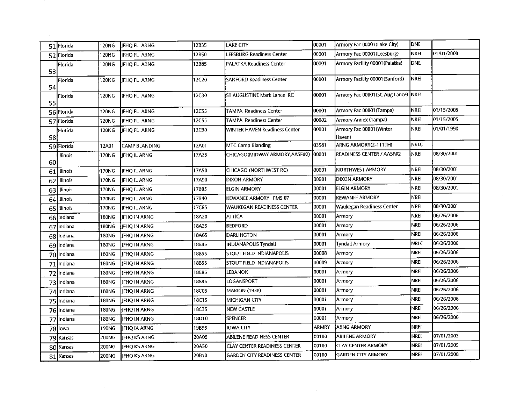|    | 51 Florida  | 120NG        | <b>IFHQ FL ARNG</b>  | 12B35 | LAKE CITY                           | 00001        | Armory Fac 00001 (Lake City)          | <b>DNE</b>  |            |
|----|-------------|--------------|----------------------|-------|-------------------------------------|--------------|---------------------------------------|-------------|------------|
|    | 52 Florida  | 120NG        | IFHOFL ARNG          | 12B50 | LEESBURG Readiness Center           | 00001        | Armory Fac 00001 (Leesburg)           | <b>NREI</b> | 01/01/2000 |
|    | Florida     | 120NG        | IFHOFL ARNG          | 12B85 | <b>PALATKA Readiness Center</b>     | 00001        | Armory Facility 00001 (Palatka)       | <b>DNE</b>  |            |
| 53 |             |              |                      |       |                                     |              |                                       |             |            |
| 54 | Florida     | 120NG        | JFHQ FL ARNG         | 12C20 | SANFORD Readiness Center            | 00001        | Armory Facility 00001 (Sanford)       | <b>NREI</b> |            |
|    | Florida     | 120NG        | ifhq fl arng         | 12C30 | ST AUGUSTINE Mark Lance RC          | 00001        | Armory Fac 00001 (St. Aug Lance) NREI |             |            |
| 55 |             |              |                      |       |                                     |              |                                       |             |            |
|    | 56 Florida  | 120NG        | JFHQ FL ARNG         | 12C55 | <b>TAMPA Readiness Center</b>       | 00001        | Armory Fac 00001 (Tampa)              | <b>NREI</b> | 01/15/2005 |
|    | 57 Florida  | 120NG        | JFHQ FL ARNG         | 12C55 | TAMPA Readiness Center              | 00002        | Armory Annex (Tampa)                  | <b>NREI</b> | 01/15/2005 |
|    | Florida     | 120NG        | JFHQ FL ARNG         | 12C90 | WINTER HAVEN Readiness Center       | 00001        | Armory Fac 00001 (Winter              | <b>NREI</b> | 01/01/1990 |
| 58 |             |              |                      |       |                                     |              | Haven)                                |             |            |
|    | 59 Florida  | 12A01        | CAMP BLANDING        | 12A01 | <b>MTC Camp Blanding</b>            | 03581        | ARNG ARMORY(2-111TH)                  | <b>NRLC</b> |            |
| 60 | Illinois    | 170NG        | <b>JFHQ IL ARNG</b>  | 17A25 | CHICAGO(MIDWAY ARMORY,AASF#2)       | 00001        | <b>READINESS CENTER / AASF#2</b>      | NREI        | 08/30/2001 |
|    | 61 Illinois | 170NG        | <b>JFHQ IL ARNG</b>  | 17A50 | CHICAGO (NORTHWEST RC)              | 00001        | NORTHWEST ARMORY                      | <b>NREI</b> | 08/30/2001 |
|    | 62 Illinois | 170NG        | <b>JFHQ IL ARNG</b>  | 17A90 | DIXON ARMORY                        | 00001        | <b>DIXON ARMORY</b>                   | <b>NREI</b> | 08/30/2001 |
|    | 63 Illinois | 170NG        | JFHQ IL ARNG         | 17B05 | <b>ELGIN ARMORY</b>                 | 00001        | <b>ELGIN ARMORY</b>                   | <b>NREI</b> | 08/30/2001 |
|    | 64 Illinois | 170NG        | JFHQ IL ARNG         | 17B40 | KEWANEE ARMORY FMS 07               | 00001        | <b>KEWANEE ARMORY</b>                 | <b>NREI</b> |            |
|    | 65 Illinois | 170NG        | JFHQ IL ARNG         | 17C65 | WAUKEGAN READINESS CENTER           | 00001        | Waukegan Readiness Center             | <b>NREI</b> | 08/30/2001 |
|    | 66 Indiana  | 180NG        | <b>IFHQ IN ARNG</b>  | 18A20 | <b>ATTICA</b>                       | 00001        | Armory                                | <b>NREI</b> | 06/26/2006 |
|    | 67 Indiana  | 180NG        | <b>JFHQ IN ARNG</b>  | 18A25 | <b>BEDFORD</b>                      | 00001        | Armory                                | <b>NREI</b> | 06/26/2006 |
|    | 68 Indiana  | 180NG        | <b>JFHQ IN ARNG</b>  | 18A65 | DARLINGTON                          | 00001        | Armory                                | <b>NREI</b> | 06/26/2006 |
|    | 69 Indiana  | 180NG        | <b>JFHQ IN ARNG</b>  | 18B45 | INDIANAPOLIS Tyndall                | 00001        | <b>Tyndall Armory</b>                 | <b>NRLC</b> | 06/26/2006 |
|    | 70 Indiana  | 180NG        | <b>JFHQ IN ARNG</b>  | 18B55 | STOUT FIELD INDIANAPOLIS            | 00008        | Armory                                | NREI        | 06/26/2006 |
|    | 71 Indiana  | 180NG        | JFHQ IN ARNG         | 8B55  | STOUT FIELD INDIANAPOLIS            | 00009        | Armory                                | NREI        | 06/26/2006 |
|    | 72 Indiana  | 180NG        | JFHQ IN ARNG         | 18B85 | LEBANON                             | 00001        | Armory                                | NREI        | 06/26/2006 |
|    | 73 Indiana  | <b>180NG</b> | JFHQ IN ARNG         | 18B95 | LOGANSPORT                          | 00001        | Armory                                | <b>NREI</b> | 06/26/2006 |
|    | 74 Indiana  | 180NG        | JFHQ IN ARNG         | 18C05 | <b>MARION (1938)</b>                | 00001        | Armory                                | NREI        | 06/26/2006 |
|    | 75 Indiana  | 180NG        | JFHQ IN ARNG         | 18C15 | MICHIGAN CITY                       | 00001        | Armory                                | NREI        | 06/26/2006 |
|    | 76 Indiana  | 180NG        | JFHQ IN ARNG         | 18C35 | NEW CASTLE                          | 00001        | Armory                                | <b>NREI</b> | 06/26/2006 |
|    | 77 Indiana  | 180NG        | JFHQ IN ARNG         | 18D10 | <b>SPENCER</b>                      | 00001        | Armory                                | <b>NREI</b> | 06/26/2006 |
|    | 78 lowa     | 190NG        | JFHQ IA ARNG         | 19B95 | <b>IOWA CITY</b>                    | <b>ARMRY</b> | <b>ARNG ARMORY</b>                    | <b>NREI</b> |            |
|    | 79 Kansas   | 200NG        | JFHQ KS ARNG         | 20A05 | ABILENE READINESS CENTER            | 00100        | <b>ABILENE ARMORY</b>                 | <b>NREI</b> | 07/01/2003 |
|    | 80 Kansas   | 200NG        | JFHQ KS ARNG         | 20A50 | CLAY CENTER READINESS CENTER        | 00100        | <b>CLAY CENTER ARMORY</b>             | <b>NREI</b> | 07/01/2005 |
|    | 81 Kansas   | 200NG        | <b>JIFHQ KS ARNG</b> | 20B10 | <b>GARDEN CITY READINESS CENTER</b> | 00100        | <b>GARDEN CITY ARMORY</b>             | <b>NREI</b> | 07/01/2008 |

 $\langle \alpha \rangle$ 

**Contract**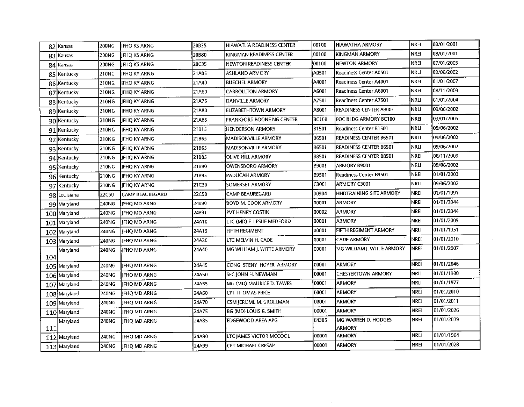|     | 82 Kansas    | 200NG        | JFHQ KS ARNG           | 20B35 | HIAWATHA READINESS CENTER        | 00100        | <b>HIAWATHA ARMORY</b>               | <b>NREI</b> | 08/01/2001 |
|-----|--------------|--------------|------------------------|-------|----------------------------------|--------------|--------------------------------------|-------------|------------|
|     | 83 Kansas    | 200NG        | <b>IFHO KS ARNG</b>    | 20B80 | KINGMAN READINESS CENTER         | 00100        | IKINGMAN ARMORY                      | <b>NREI</b> | 08/01/2001 |
|     | 84 Kansas    | 200NG        | <b>IFHO KS ARNG</b>    | 20C35 | NEWTON READINESS CENTER          | 00100        | NEWTON ARMORY                        | <b>NREI</b> | 07/01/2005 |
|     | 85 Kentucky  | 210NG        | IFHQ KY ARNG           | 21A05 | <b>ASHLAND ARMORY</b>            | A0501        | Readiness Center A0501               | <b>NRLI</b> | 09/06/2002 |
|     | 86 Kentucky  | 210NG        | JIFHQ KY ARNG          | 21A40 | <b>BUECHEL ARMORY</b>            | A4001        | Readiness Center A4001               | <b>NREI</b> | 01/01/2007 |
|     | 87 Kentucky  | 210NG        | JIFHQ KY ARNG          | 21A60 | <b>CARROLLTON ARMORY</b>         | A6001        | Readiness Center A6001               | NREI        | 08/11/2009 |
|     | 88 Kentucky  | 210NG        | IFHO KY ARNG           | 21A75 | DANVILLE ARMORY                  | A7501        | Readiness Center A7501               | <b>NRLI</b> | 01/01/2004 |
|     | 89 Kentucky  | 210NG        | IIFHO KY ARNG          | 21A80 | <b>ELIZABETHTOWN ARMORY</b>      | A8001        | READINESS CENTER A8001               | <b>NRLI</b> | 09/06/2002 |
|     | 90 Kentucky  | 210NG        | <b>IFHO KY ARNG</b>    | 21A85 | <b>FRANKFORT BOONE NG CENTER</b> | <b>BC100</b> | EOC BLDG ARMORY BC100                | <b>NREI</b> | 03/01/2005 |
|     | 91 Kentucky  | 210NG        | IFHQ KY ARNG           | 21B15 | <b>HENDERSON ARMORY</b>          | <b>B1501</b> | Readiness Center B1501               | <b>NRLI</b> | 09/06/2002 |
|     | 92 Kentucky  | 210NG        | IFHQ KY ARNG           | 21B65 | MADISONVILLE ARMORY              | <b>B6501</b> | READINESS CENTER B6501               | <b>NRLI</b> | 09/06/2002 |
|     | 93 Kentucky  | 210NG        | JFHQ KY ARNG           | 21B65 | <b>MADISONVILLE ARMORY</b>       | <b>B6501</b> | <b>READINESS CENTER B6501</b>        | NRLI        | 09/06/2002 |
|     | 94 Kentucky  | 210NG        | JFHQ KY ARNG           | 21B85 | <b>OLIVE HILL ARMORY</b>         | <b>B8501</b> | <b>READINESS CENTER B8501</b>        | NREI        | 08/11/2009 |
|     | 95 Kentucky  | 210NG        | JFHQ KY ARNG           | 21B90 | OWENSBORO ARMORY                 | <b>B9001</b> | ARMORY B9001                         | NRLI        | 09/06/2002 |
|     | 96 Kentucky  | 210NG        | IJFHO KY ARNG          | 21B95 | <b>IPADUCAH ARMORY</b>           | B9501        | Readiness Center B9501               | NREI        | 01/01/2003 |
|     | 97 Kentucky  | 210NG        | JFHQ KY ARNG           | 21C30 | SOMERSET ARMORY                  | C3001        | ARMORY C3001                         | <b>NRLI</b> | 09/06/2002 |
|     | 98 Louisiana | 22C50        | <b>CAMP BEAUREGARD</b> | 22C50 | CAMP BEAUREGARD                  | 00904        | HHDTRAINING SITE ARMORY              | <b>NREI</b> | 01/01/1991 |
|     | 99 Maryland  | 240NG        | IFHO MD ARNG           | 24890 | <b>BOYD M. COOK ARMORY</b>       | 00001        | ARMORY                               | <b>NREI</b> | 01/01/2044 |
|     | 100 Maryland | 240NG        | IIFHQ MD ARNG          | 24891 | PVT HENRY COSTIN                 | 00002        | <b>ARMORY</b>                        | <b>NREI</b> | 01/01/2044 |
|     | 101 Maryland | 240NG        | IIFHQ MD ARNG          | 24A10 | ltc (MD) e. Leslie medford       | 00001        | <b>ARMORY</b>                        | <b>NREI</b> | 01/01/2009 |
|     | 102 Maryland | 240NG        | <b>IFHO MD ARNG</b>    | 24A15 | <b>FIFTH REGIMENT</b>            | 00001        | FIFTH REGIMENT ARMORY                | NRLI        | 01/01/1951 |
|     | 103 Maryland | 240NG        | <b>JIFHQ MD ARNG</b>   | 24A20 | LTC MELVIN H. CADE               | 00001        | <b>CADE ARMORY</b>                   | NREI        | 01/01/2010 |
| 104 | Maryland     | 240NG        | lifho MD Arng          | 24A40 | IMG WILLIAM J. WITTE ARMORY      | 00001        | MG WILLIAM J. WITTE ARMORY           | Inrei       | 01/01/2007 |
|     | 105 Maryland | 240NG        | <b>IFHQ MD ARNG</b>    | 24A45 | CONG STENY HOYER ARMORY          | 00001        | <b>ARMORY</b>                        | <b>NREI</b> | 01/01/2046 |
|     | 106 Maryland | 240NG        | IFHQ MD ARNG           | 24A50 | İSFC IOHN H. NEWMAN              | 00001        | <b>CHESTERTOWN ARMORY</b>            | <b>NRLI</b> | 01/01/1980 |
|     | 107 Maryland | 240NG        | <b>IFHO MD ARNG</b>    | 24A55 | MG (MD) MAURICE D. TAWES         | 00001        | <b>ARMORY</b>                        | <b>NRLI</b> | 01/01/1977 |
|     | 108 Maryland | 240NG        | <b>IFHQ MD ARNG</b>    | 24A60 | <b>CPT THOMAS PRICE</b>          | 00001        | <b>ARMORY</b>                        | <b>NREI</b> | 01/01/2010 |
|     | 109 Maryland | 240NG        | JFHQ MD ARNG           | 24A70 | CSM JEROME M. GROLLMAN           | 00001        | <b>ARMORY</b>                        | <b>NREI</b> | 01/01/2011 |
|     | 110 Maryland | 240NG        | <b>IFHO MD ARNG</b>    | 24A75 | BG (MD) LOUIS G. SMITH           | 00001        | <b>ARMORY</b>                        | NREI        | 01/01/2026 |
| 111 | Maryland     | <b>240NG</b> | <b>IFHO MD ARNG</b>    | 24A85 | EDGEWOOD AREA APG                | E4305        | MG WARREN D. HODGES<br><b>ARMORY</b> | <b>NREI</b> | 01/01/2039 |
|     | 112 Maryland | 240NG        | <b>JFHQ MD ARNG</b>    | 24A90 | LTC JAMES VICTOR MCCOOL          | 00001        | <b>ARMORY</b>                        | <b>NRLI</b> | 01/01/1964 |
|     | 113 Maryland | 240NG        | <b>JIFHQ MD ARNG</b>   | 24A99 | <b>CPT MICHAEL CRESAP</b>        | 00001        | <b>ARMORY</b>                        | <b>NREI</b> | 01/01/2028 |

 $\sim 400$ 

 $\sim 10^{11}$ 

 $\mathcal{L}^{\text{max}}_{\text{max}}$  and  $\mathcal{L}^{\text{max}}_{\text{max}}$ 

 $\sim 10^{11}$ 

 $\sim 1000$  km s  $^{-1}$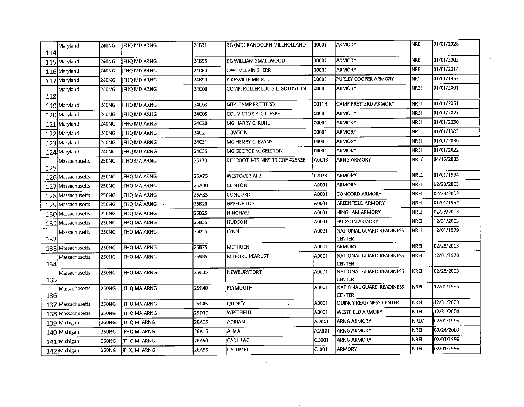| 114 | Maryland          | 240NG        | HFHQ MD ARNG        | 24B31        | BG (MD) RANDOLPH MILLHOLLAND   | 00001 | <b>ARMORY</b>                             | <b>NREI</b>  | 01/01/2028 |
|-----|-------------------|--------------|---------------------|--------------|--------------------------------|-------|-------------------------------------------|--------------|------------|
|     | 115 Maryland      | 240NG        | <b>JFHQ MD ARNG</b> | 24B55        | <b>BG WILLIAM SMALLWOOD</b>    | 00001 | <b>ARMORY</b>                             | <b>NREL</b>  | 01/01/2002 |
|     | 116 Maryland      | 240NG        | JFHQ MD ARNG        | 24B80        | CW4 MELVIN SHERR               | 00001 | <b>ARMORY</b>                             | <b>NREI</b>  | 01/01/2014 |
|     | 117 Maryland      | 240NG        | JFHQ MD ARNG        | 24B90        | PIKESVILLE MIL RES             | 00001 | PURLEY COOPER ARMORY                      | NRLI         | 01/01/1953 |
|     | Maryland          | 240NG        | FHQ MD ARNG         | 24C00        | COMPTROLLER LOUIS L. GOLDSTEIN | 00001 | ARMORY                                    | <b>NREI</b>  | 01/01/2001 |
| 118 |                   |              |                     |              |                                |       |                                           |              |            |
|     | 119 Maryland      | 240NG        | JFHQ MD ARNG        | 24C03        | MTA CAMP FRETTERD              | 00114 | CAMP FRETTERD ARMORY                      | <b>NREI</b>  | 01/01/2051 |
|     | 120 Maryland      | 240NG        | JFHQ MD ARNG        | 24C05        | COL VICTOR P. GILLESPE         | 00001 | <b>ARMORY</b>                             | <b>NREI</b>  | 01/01/2027 |
|     | 121 Maryland      | 240NG        | JFHQ MD ARNG        | 24C20        | MG HARRY C. RUHL               | 00001 | <b>ARMORY</b>                             | <b>NREI</b>  | 01/01/2030 |
|     | 122 Maryland      | 240NG        | <b>JFHQ MD ARNG</b> | 24C21        | towson                         | 00001 | <b>ARMORY</b>                             | <b>NRLI</b>  | 01/01/1983 |
|     | 123 Maryland      | 240NG        | JFHQ MD ARNG        | 24C31        | MG HENRY C. EVANS              | 00001 | <b>ARMORY</b>                             | <b>NREI</b>  | 01/01/2030 |
|     | 124 Maryland      | 240NG        | JFHQ MD ARNG        | 24C35        | MG GEORGE M. GELSTON           | 00001 | <b>ARMORY</b>                             | <b>NREI</b>  | 01/01/2022 |
| 125 | Massachusetts     | 250NG        | JIFHQ MA ARNG       | 25178        | REHOBOTH-TS NIKE 19 COE #25326 | A0C13 | <b>ARNG ARMORY</b>                        | <b>NREC</b>  | 04/15/2005 |
|     | 126 Massachusetts | 250NG        | JFHQ MA ARNG        | 25A75        | <b>WESTOVER AFB</b>            | 07073 | <b>ARMORY</b>                             | <b>NRLC</b>  | 01/01/1994 |
|     | 127 Massachusetts | 250NG        | JIFHQ MA ARNG       | 25A80        | <b>CLINTON</b>                 | A0001 | <b>ARMORY</b>                             | <b>NREI</b>  | 02/28/2003 |
|     | 128 Massachusetts | 250NG        | <b>JFHQ MA ARNG</b> | 25A85        | CONCORD                        | A0001 | <b>CONCORD ARMORY</b>                     | <b>NREI</b>  | 02/28/2003 |
|     | 129 Massachusetts | 250NG        | JFHO MA ARNG        | 25B20        | GREENFIELD                     | A0001 | <b>GREENFIELD ARMORY</b>                  | <b>NREI</b>  | 01/01/1984 |
|     | 130 Massachusetts | 250NG        | JFHQ MA ARNG        | 25B25        | <b>HINGHAM</b>                 | A0001 | HINGHAM ARMORY                            | <b>NREI</b>  | 02/28/2003 |
|     | 131 Massachusetts | 250NG        | JFHQ MA ARNG        | 25B35        | <b>HUDSON</b>                  | A0001 | HUDSON ARMORY                             | <b>NREI</b>  | 12/31/2003 |
| 132 | Massachusetts     | 250NG        | JFHQ MA ARNG        | 25B55        | LYNN                           | A0001 | NATIONAL GUARD READINESS<br><b>CENTER</b> | NRLI         | 12/01/1979 |
|     | 133 Massachusetts | 250NG        | IFHO MA ARNG        | 25B75        | <b>METHUEN</b>                 | A0001 | <b>ARMORY</b>                             | <b>NREI</b>  | 02/28/2003 |
| 134 | Massachusetts     | 250NG        | JFHQ MA ARNG        | 25B85        | MILFORD PEARL ST               | A0001 | NATIONAL GUARD READINESS<br>CENTER        | <b>NREI</b>  | 12/01/1978 |
| 135 | Massachusetts     | 250NG        | <b>JFHQ MA ARNG</b> | <b>25C05</b> | NEWBURYPORT                    | A0001 | NATIONAL GUARD READINESS<br><b>CENTER</b> | <b>NREI</b>  | 02/28/2003 |
| 136 | Massachusetts     | 250NG        | <b>IFHQ MA ARNG</b> | 25C40        | <b>PLYMOUTH</b>                | A0001 | NATIONAL GUARD READINESS<br><b>CENTER</b> | NREI         | 12/01/1995 |
|     | 137 Massachusetts | <b>250NG</b> | JFHQ MA ARNG        | 25C45        | <b>QUINCY</b>                  | A0001 | <b>QUINCY READINESS CENTER</b>            | NREI         | 12/31/2003 |
|     | 138 Massachusetts | <b>250NG</b> | <b>JFHQ MA ARNG</b> | 25D10        | WESTFIELD                      | A0001 | <b>WESTFIELD ARMORY</b>                   | NREI         | 12/31/2004 |
|     | 139 Michigan      | <b>260NG</b> | JFHQ MI ARNG        | 26A05        | <b>ADRIAN</b>                  | AD001 | <b>ARNG ARMORY</b>                        | <b>NREC</b>  | 02/01/1996 |
|     | 140 Michigan      | 260NG        | JFHQ MI ARNG        | 26A15        | ALMA                           | AM001 | <b>ARNG ARMORY</b>                        | <b>NREI</b>  | 03/24/2003 |
|     | 141 Michigan      | 260NG        | JFHQ MI ARNG        | 26A50        | <b>CADILLAC</b>                | CD001 | ARNG ARMORY                               | <b>NREI</b>  | 02/01/1996 |
|     | 142 Michigan      | 260NG        | JFHQ MI ARNG        | 26A55        | <b>CALUMET</b>                 | CL001 | <b>ARMORY</b>                             | <b>INREC</b> | 02/01/1996 |

 $\sim 10^{11}$  km  $^{-1}$ 

 $\sim 10$ 

 $\mathcal{L}^{\text{max}}_{\text{max}}$ 

 $\mathcal{L}^{\text{max}}_{\text{max}}$ 

 $\label{eq:2.1} \frac{1}{\sqrt{2}}\left(\frac{1}{\sqrt{2}}\right)^{2} \left(\frac{1}{\sqrt{2}}\right)^{2} \left(\frac{1}{\sqrt{2}}\right)^{2} \left(\frac{1}{\sqrt{2}}\right)^{2} \left(\frac{1}{\sqrt{2}}\right)^{2} \left(\frac{1}{\sqrt{2}}\right)^{2} \left(\frac{1}{\sqrt{2}}\right)^{2} \left(\frac{1}{\sqrt{2}}\right)^{2} \left(\frac{1}{\sqrt{2}}\right)^{2} \left(\frac{1}{\sqrt{2}}\right)^{2} \left(\frac{1}{\sqrt{2}}\right)^{2} \left(\$ 

 $\mathcal{L}_{\text{max}}$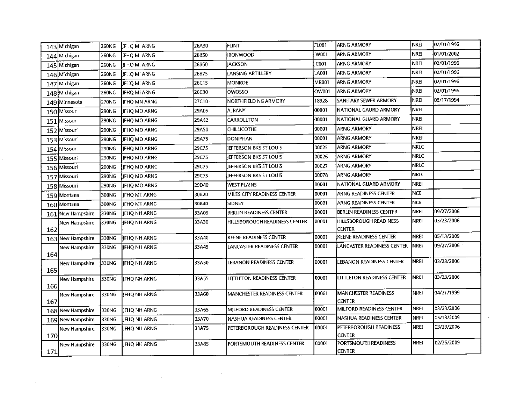| 143 Michigan          | 260NG  | <b>JFHQ MI ARNG</b> | 26A90 | <b>FLINT</b>                  | FL001  | <b>ARNG ARMORY</b>                           | INREI       | 02/01/1996 |
|-----------------------|--------|---------------------|-------|-------------------------------|--------|----------------------------------------------|-------------|------------|
| 144 Michigan          | 260NG  | <b>JFHQ MI ARNG</b> | 26B50 | <b>IRONWOOD</b>               | IW001  | ARNG ARMORY                                  | <b>NREI</b> | 01/01/2002 |
| 145 Michigan          | 260NG  | <b>IFHQ MI ARNG</b> | 26B60 | <b>JACKSON</b>                | IC001  | <b>ARNG ARMORY</b>                           | <b>NREI</b> | 02/01/1996 |
| 146 Michigan          | 260NG  | JFHQ MI ARNG        | 26B75 | LANSING ARTILLERY             | LA001  | <b>ARNG ARMORY</b>                           | <b>NREI</b> | 02/01/1996 |
| 147 Michigan          | 260NG  | <b>JFHQ MI ARNG</b> | 26C15 | <b>MONROE</b>                 | MR001  | <b>ARNG ARMORY</b>                           | <b>NREI</b> | 02/01/1996 |
| 148 Michigan          | 260NG  | JFHQ MI ARNG        | 26C30 | OWOSSO                        | OW001  | ARNG ARMORY                                  | <b>NREI</b> | 02/01/1996 |
| 149 Minnesota         | 270NG  | JFHQ MN ARNG        | 27C10 | NORTHFIELD NG ARMORY          | 18928  | SANITARY SEWER ARMORY                        | NREI        | 09/17/1994 |
| 150 Missouri          | 290NG  | IFHO MO ARNG        | 29A05 | <b>ALBANY</b>                 | 00001  | NATIONAL GAURD ARMORY                        | <b>NREI</b> |            |
| 151 Missouri          | 290NG  | <b>IFHO MO ARNG</b> | 29A42 | CARROLLTON                    | 00001  | NATIONAL GUARD ARMORY                        | <b>NREI</b> |            |
| 152 Missouri          | 290NG  | IFHO MO ARNG        | 29A50 | <b>CHILLICOTHE</b>            | 00001  | <b>ARNG ARMORY</b>                           | <b>NREI</b> |            |
| 153 Missouri          | 290NG  | <b>IFHO MO ARNG</b> | 29A75 | <b>DONIPHAN</b>               | 00001  | ARNG ARMORY                                  | <b>NREI</b> |            |
| 154 Missouri          | 290NG  | <b>IFHO MO ARNG</b> | 29C75 | JEFFERSON BKS ST LOUIS        | 00025  | ARNG ARMORY                                  | <b>NRLC</b> |            |
| 155 Missouri          | 290NG  | <b>IFHQ MO ARNG</b> | 29C75 | <b>IEFFERSON BKS ST LOUIS</b> | 00026  | <b>ARNG ARMORY</b>                           | <b>NRLC</b> |            |
| 156 Missouri          | 290NG  | <b>IFHQ MO ARNG</b> | 29C75 | JEFFERSON BKS ST LOUIS        | 00027  | <b>ARNG ARMORY</b>                           | <b>NRLC</b> |            |
| 157 Missouri          | 290NG  | JFHQ MO ARNG        | 29C75 | IEFFERSON BKS ST LOUIS        | 00078  | <b>ARNG ARMORY</b>                           | <b>NRLC</b> |            |
| 158 Missouri          | 290NG  | JFHQ MO ARNG        | 29D40 | <b>WEST PLAINS</b>            | 100001 | NATIONAL GUARD ARMORY                        | <b>NREI</b> |            |
| 159 Montana           | 300NG  | IJFHQ MT ARNG       | 30B20 | MILES CITY READINESS CENTER   | 00001  | ARNG READINESS CENTER                        | <b>NCE</b>  |            |
| 160 Montana           | 300NG  | <b>IFHO MT ARNG</b> | 30B40 | SIDNEY                        | 00001  | ARNG READINESS CENTER                        | <b>NCE</b>  |            |
| 161 New Hampshire     | 330NG  | JFHQ NH ARNG        | 33A05 | BERLIN READINESS CENTER       | 100001 | BERLIN READINESS CENTER                      | <b>NREI</b> | 09/27/2006 |
| New Hampshire<br>162  | 330NG  | JFHQ NH ARNG        | 33A30 | HILLSBOROUGH READINESS CENTER | 00001  | HILLSBOROUGH READINESS<br><b>CENTER</b>      | NREI        | 03/23/2006 |
| 163 New Hampshire     | 330NG  | JFHQ NH ARNG        | 33A40 | KEENE READINESS CENTER        | 00001  | KEENE READINESS CENTER                       | <b>NREI</b> | 05/13/2009 |
| New Hampshire<br>164  | 330NG  | FHQ NH ARNG         | 33A45 | LANCASTER READINESS CENTER    | 00001  | LANCASTER READINESS CENTER                   | <b>NREI</b> | 09/27/2006 |
| New Hampshire<br>165  | 1330NG | <b>IFHO NH ARNG</b> | 33A50 | LEBANON READINESS CENTER      | 00001  | LEBANON READINESS CENTER                     | <b>NREI</b> | 03/23/2006 |
| New Hampshire<br>166l | 330NG  | IFHQ NH ARNG        | 33A55 | LITTLETON READINESS CENTER    | 00001  | LITTLETON READINESS CENTER                   | NRE1        | 03/23/2006 |
| New Hampshire<br>167  | 330NG  | JFHQ NH ARNG        | 33A60 | MANCHESTER READINESS CENTER   | 00001  | <b>MANCHESTER READINESS</b><br><b>CENTER</b> | <b>NREI</b> | 04/21/1999 |
| 168 New Hampshire     | 330NG  | JFHQ NH ARNG        | 33A65 | MILFORD READINESS CENTER      | 00001  | MILFORD READINESS CENTER                     | <b>NREI</b> | 03/23/2006 |
| 169 New Hampshire     | 330NG  | JFHQ NH ARNG        | 33A70 | NASHUA READINESS CENTER       | 00001  | NASHUA READINESS CENTER                      | <b>NREI</b> | 05/13/2009 |
| New Hampshire         | 330NG  | JFHQ NH ARNG        | 33A75 | PETERBOROUGH READINESS CENTER | 00001  | PETERBOROUGH READINESS<br><b>CENTER</b>      | <b>NREE</b> | 03/23/2006 |
| 170                   |        |                     |       |                               |        |                                              |             |            |

 $\mathcal{L}^{\pm}$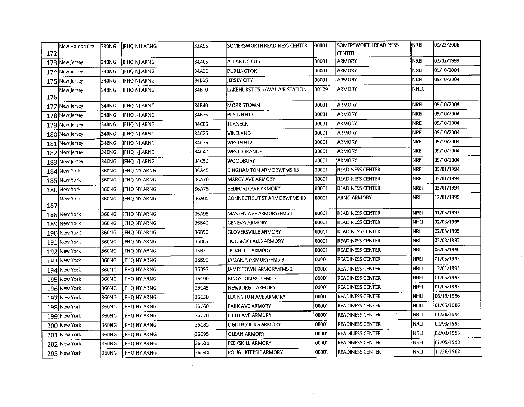|     | New Hampshire_ | 330NG | <b>IFHO NH ARNG</b> | 33A95 | SOMERSWORTH READINESS CENTER    | 00001  | <b>SOMERSWORTH READINESS</b> | <b>NREI</b> | 03/23/2006 |
|-----|----------------|-------|---------------------|-------|---------------------------------|--------|------------------------------|-------------|------------|
| 172 |                |       |                     |       |                                 |        | <b>CENTER</b>                |             |            |
|     | 173 New Jersey | 340NG | JFHQ NJ ARNG        | 34A05 | <b>ATLANTIC CITY</b>            | 00001  | <b>ARMORY</b>                | <b>NREI</b> | 02/02/1999 |
|     | 174 New Jersey | 340NG | <b>JFHQ NJ ARNG</b> | 34A30 | <b>BURLINGTON</b>               | 00001  | <b>ARMORY</b>                | <b>NREI</b> | 09/10/2004 |
|     | 175 New Jersey | 340NG | JFHQ NJ ARNG        | 34B05 | <b>JERSEY CITY</b>              | 00001  | <b>ARMORY</b>                | NREI        | 09/10/2004 |
|     | New Jersey     | 340NG | <b>IFHO NI ARNG</b> | 34B10 | LAKEHURST TS NAVAL AIR STATION  | 00129  | <b>ARMORY</b>                | NHLC        |            |
| 176 |                |       |                     |       |                                 |        | <b>ARMORY</b>                | NREI        | 09/10/2004 |
|     | 177 New Jersey | 340NG | JFHQ NJ ARNG        | 34B40 | <b>MORRISTOWN</b>               | 100001 |                              | <b>NREI</b> | 09/10/2004 |
|     | 178 New Jersey | 340NG | JFHQ NJ ARNG        | 34B75 | PLAINFIELD                      | 00001  | <b>ARMORY</b>                |             |            |
|     | 179 New Jersey | 340NG | JFHQ NJ ARNG        | 34C05 | teaneck                         | 00001  | <b>ARMORY</b>                | <b>NREI</b> | 09/10/2004 |
|     | 180 New Jersey | 340NG | JFHQ NJ ARNG        | 34C25 | VINELAND                        | 00001  | <b>ARMORY</b>                | <b>NREI</b> | 09/10/2004 |
|     | 181 New Jersey | 340NG | JFHQ NJ ARNG        | 34C35 | WESTFIELD                       | 100001 | <b>ARMORY</b>                | NREI        | 09/10/2004 |
|     | 182 New Jersey | 340NG | JFHQ NJ ARNG        | 34C40 | <b>WEST ORANGE</b>              | 00001  | <b>ARMORY</b>                | NREI        | 09/10/2004 |
|     | 183 New Jersey | 340NG | JFHQ NJ ARNG        | 34C50 | <b>WOODBURY</b>                 | 00001  | <b>ARMORY</b>                | <b>NREI</b> | 09/10/2004 |
|     | 184 New York   | 360NG | JFHQ NY ARNG        | 36A45 | <b>BINGHAMTON ARMORY/FMS 13</b> | 00001  | <b>READINESS CENTER</b>      | <b>NREI</b> | 05/01/1994 |
|     | 185 New York   | 360NG | IFHO NY ARNG        | 36A70 | <b>MARCY AVE ARMORY</b>         | 00001  | <b>READINESS CENTER</b>      | NREI        | 05/01/1994 |
|     | 186 New York   | 360NC | JFHQ NY ARNG        | 36A75 | BEDFORD AVE ARMORY              | 00001  | <b>READINESS CENTER</b>      | NREI        | 05/01/1994 |
|     | New York       | 360NG | <b>JFHO NY ARNG</b> | 36A85 | CONNECTICUT ST ARMORY/FMS 10    | 00001  | ARNG ARMORY                  | NRLI        | 12/01/1995 |
| 187 |                |       |                     |       |                                 |        |                              |             |            |
|     | 188 New York   | 360NG | JFHQ NY ARNG        | 36A95 | MASTEN AVE ARMORY/FMS 1         | 00001  | READINESS CENTER             | <b>NREI</b> | 01/05/1993 |
|     | 189 New York   | 360NG | IJFHQ NY ARNG       | 36B40 | <b>GENEVA ARMORY</b>            | 00001  | <b>READINESS CENTER</b>      | NHLI        | 02/03/1995 |
|     | 190 New York   | 360NG | IFHQ NY ARNG        | 36B50 | <b>GLOVERSVILLE ARMORY</b>      | 00001  | <b>READINESS CENTER</b>      | NRLI        | 02/03/1995 |
|     | 191 New York   | 360NG | JFHQ NY ARNG        | 36B65 | <b>HOOSICK FALLS ARMORY</b>     | 00001  | <b>READINESS CENTER</b>      | NRLI        | 02/03/1995 |
|     | 192 New York   | 360NG | JFHQ NY ARNG        | 36B70 | HORNELL ARMORY                  | 00001  | <b>READINESS CENTER</b>      | NRLI)       | 06/05/1980 |
|     | 193 New York   | 360NG | ∥JFHQ NY ARNG       | 36B90 | <b>IAMAICA ARMORY/FMS 9</b>     | 00001  | <b>READINESS CENTER</b>      | NREI        | 01/05/1993 |
|     | 194 New York   | 360NG | <b>IFHQ NY ARNG</b> | 36B95 | <b>JAMESTOWN ARMORY/FMS 2</b>   | 00001  | <b>READINESS CENTER</b>      | <b>NRLI</b> | 12/01/1995 |
|     | 195 New York   | 360NG | <b>JFHQ NY ARNG</b> | 36C00 | KINGSTON RC / FMS 7             | 00001  | <b>READINESS CENTER</b>      | <b>NREI</b> | 01/05/1993 |
|     | 196 New York   | 360NG | <b>JFHQ NY ARNG</b> | 36C45 | NEWBURGH ARMORY                 | 00001  | READINESS CENTER             | NREI        | 01/05/1993 |
|     | 197 New York   | 360NG | <b>JFHQ NY ARNG</b> | 36C50 | LEXINGTON AVE ARMORY            | 00001  | READINESS CENTER             | <b>NHLI</b> | 06/19/1996 |
|     | 198 New York   | 360NG | <b>JFHO NY ARNG</b> | 36C60 | PARK AVE ARMORY                 | 00001  | <b>READINESS CENTER</b>      | <b>NHLI</b> | 01/05/1986 |
|     | 199 New York   | 360NG | JFHQ NY ARNG        | 36C70 | FIFTH AVE ARMORY                | 00001  | $\sim$<br>IREADINESS CENTER  | INRLI       | 01/28/1994 |
|     | 200 New York   | 360NG | IJFHQ NY ARNG       | 36C85 | OGDENSBURG ARMORY               | 00001  | <b>READINESS CENTER</b>      | NRLI        | 02/03/1995 |
|     | 201 New York   | 360NG | <b>JFHQ NY ARNG</b> | 36C95 | OLEAN ARMORY                    | 00001  | <b>READINESS CENTER</b>      | NRLI        | 02/03/1995 |
|     | 202 New York   | 360NG | JFHQ NY ARNG        | 36D30 | PEEKSKILL ARMORY                | 00001  | <b>READINESS CENTER</b>      | <b>NREI</b> | 01/05/1993 |
|     |                |       |                     | 36D40 | <b>POUGHKEEPSIE ARMORY</b>      | 00001  | <b>READINESS CENTER</b>      | nrli        | 11/26/1982 |
|     | 203 New York   | 360NG | JFHQ NY ARNG        |       |                                 |        |                              |             |            |

 $\mathcal{L}^{\mathcal{L}}(\mathcal{L}^{\mathcal{L}})$  and  $\mathcal{L}^{\mathcal{L}}(\mathcal{L}^{\mathcal{L}})$  and  $\mathcal{L}^{\mathcal{L}}(\mathcal{L}^{\mathcal{L}})$ 

 $\label{eq:2.1} \frac{1}{\sqrt{2}}\int_{\mathbb{R}^3}\frac{1}{\sqrt{2}}\left(\frac{1}{\sqrt{2}}\right)^2\frac{1}{\sqrt{2}}\left(\frac{1}{\sqrt{2}}\right)^2\frac{1}{\sqrt{2}}\left(\frac{1}{\sqrt{2}}\right)^2\frac{1}{\sqrt{2}}\left(\frac{1}{\sqrt{2}}\right)^2.$ 

 $\sim 10$ 

 $\sim$   $\sim$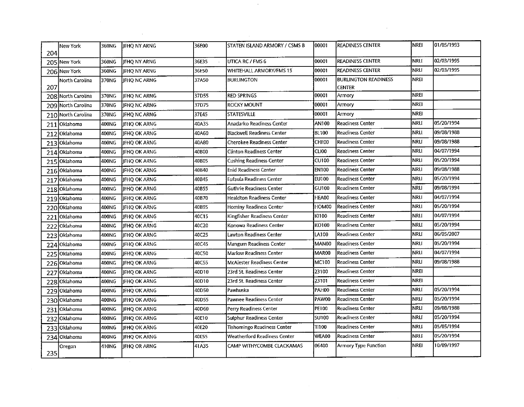| 204 | New York           | 360NG | <b>IFHO NY ARNG</b> | 36E00 | STATEN ISLAND ARMORY / CSMS B     | 100001            | <b>READINESS CENTER</b>     | <b>I</b> NREI | 01/05/1993 |
|-----|--------------------|-------|---------------------|-------|-----------------------------------|-------------------|-----------------------------|---------------|------------|
|     | 205 New York       | 360NG | JFHQ NY ARNG        | 36E35 | UTICA RC / FMS 6                  | 00001             | <b>READINESS CENTER</b>     | Inrli         | 02/03/1995 |
|     | 206 New York       | 360NG | <b>JFHO NY ARNG</b> | 36E50 | WHITEHALL ARMORY/FMS 15           | 00001             | <b>READINESS CENTER</b>     | <b>NRLI</b>   | 02/03/1995 |
|     | North Carolina     | 370NG | <b>IFHONCARNG</b>   | 37A50 | BURLINGTON                        | 100001            | <b>BURLINGTON READINESS</b> | <b>İNREI</b>  |            |
| 207 |                    |       |                     |       |                                   |                   | <b>CENTER</b>               |               |            |
|     | 208 North Carolina | 370NG | JFHQ NC ARNG        | 37D55 | <b>RED SPRINGS</b>                | 00001             | Armory                      | NREI          |            |
|     | 209 North Carolina | 370NG | JFHQ NC ARNG        | 37D75 | ROCKY MOUNT                       | 100001            | Armory                      | NREI          |            |
|     | 210 North Carolina | 370NG | <b>IFHO NC ARNG</b> | 37E45 | <b>STATESVILLE</b>                | 00001             | Armory                      | NREI          |            |
|     | 211 Oklahoma       | 400NG | JFHQ OK ARNG        | 40A35 | Anadarko Readiness Center         | AN100             | <b>Readiness Center</b>     | İNRLI         | 05/20/1994 |
|     | 212 Oklahoma       | 400NG | JFHQ OK ARNG        | 40A60 | <b>Blackwell Readiness Center</b> | <b>BL100</b>      | Readiness Center            | İNRLI         | 09/08/1988 |
|     | 213 Oklahoma       | 400NG | JFHQ OK ARNG        | 40A80 | Cherokee Readiness Center         | CHE00             | Readiness Center            | <b>NRLI</b>   | 09/08/1988 |
|     | 214 Oklahoma       | 400NG | JFHQ OK ARNG        | 40B00 | <b>Clinton Readiness Center</b>   | CLI00             | <b>Readiness Center</b>     | İNRLI         | 04/07/1994 |
|     | 215 Oklahoma       | 400NG | <b>JFHQ OK ARNG</b> | 40B05 | Cushing Readiness Center          | <b>CU100</b>      | Readiness Center            | İNRLI         | 05/20/1994 |
|     | 216 Oklahoma       | 400NG | <b>JFHQ OK ARNG</b> | 40B40 | <b>Enid Readiness Center</b>      | <b>EN100</b>      | <b>Readiness Center</b>     | NRLI          | 09/08/1988 |
|     | 217 Oklahoma       | 400NG | <b>IFHO OK ARNG</b> | 40B45 | Eufaula Readiness Center          | EU100             | <b>Readiness Center</b>     | İNRLI         | 05/20/1994 |
|     | 218 Oklahoma       | 400NG | <b>JFHQ OK ARNG</b> | 40B55 | <b>Guthrie Readiness Center</b>   | GU100             | <b>Readiness Center</b>     | <b>INRLI</b>  | 09/08/1994 |
|     | 219 Oklahoma       | 400NG | <b>IFHO OK ARNG</b> | 40B70 | Healdton Readiness Center         | HEA00             | <b>Readiness Center</b>     | NRLI          | 04/07/1994 |
|     | 220 Oklahoma       | 400NG | JFHQ OK ARNG        | 40B95 | Hominy Readiness Center           | HOM00             | Readiness Center            | İNRLI         | 05/20/1994 |
|     | 221 Oklahoma       | 400NG | JFHQ OK ARNG        | 40C15 | Kingfisher Readiness Center       | KI100             | <b>Readiness Center</b>     | İnrli         | 04/07/1994 |
|     | 222 Oklahoma       | 400NG | JFHQ OK ARNG        | 40C20 | Konowa Readiness Center           | KO100             | <b>Readiness Center</b>     | <b>NRLI</b>   | 05/20/1994 |
|     | 223 Oklahoma       | 400NG | JFHQ OK ARNG        | 40C25 | Lawton Readiness Center           | LA100             | Readiness Center            | İNRLI         | 06/05/2007 |
|     | 224 Oklahoma       | 400NG | JFHQ OK ARNG        | 40C45 | Mangum Readiness Center           | MAN00             | <b>Readiness Center</b>     | İNRLI         | 05/20/1994 |
|     | 225 Oklahoma       | 400NG | JFHQ OK ARNG        | 40C50 | <b>Marlow Readiness Center</b>    | MAR <sub>00</sub> | <b>Readiness Center</b>     | lnrli         | 04/07/1994 |
|     | 226 Oklahoma       | 400NG | JFHQ OK ARNG        | 40C55 | <b>McAlester Readiness Center</b> | MC100             | <b>Readiness Center</b>     | NRLI          | 09/08/1988 |
|     | 227 Oklahoma       | 400NG | JFHQ OK ARNG        | 40D10 | 23rd St. Readiness Center         | 23100             | <b>Readiness Center</b>     | İNREI         |            |
|     | 228 Oklahoma       | 400NG | <b>IFHO OK ARNG</b> | 40D10 | 23rd St. Readiness Center         | 23101             | <b>Readiness Center</b>     | <b>NREI</b>   |            |
|     | 229 Oklahoma       | 400NG | JFHQ OK ARNG        | 40D50 | Pawhuska                          | PAH00             | Readiness Center            | NRLI          | 05/20/1994 |
|     | 230 Oklahoma       | 400NG | <b>JFHQ OK ARNG</b> | 40D55 | Pawnee Readiness Center           | PAW00             | <b>Readiness Center</b>     | <b>NRLI</b>   | 05/20/1994 |
|     | 231 Oklahoma       | 400NG | JFHQ OK ARNG        | 40D60 | Perry Readiness Center            | PE100             | <b>Readiness Center</b>     | NRLI          | 09/08/1988 |
|     | 232 Oklahoma       | 400NG | JFHQ OK ARNG        | 40E10 | Sulphur Readiness Center          | <b>SU100</b>      | <b>Readiness Center</b>     | İNRLI         | 05/20/1994 |
|     | 233 Oklahoma       | 400NG | JFHQ OK ARNG        | 40E20 | Tishomingo Readiness Center       | TI100             | Readiness Center            | İNRLI         | 05/05/1994 |
|     | 234 Oklahoma       | 400NG | <b>JFHQ OK ARNG</b> | 40E55 | Weatherford Readiness Center      | WEA00             | Readiness Center            | NRLI          | 05/20/1994 |
| 235 | Oregon             | 410NG | JFHQ OR ARNG        | 41A35 | CAMP WITHYCOMBE CLACKAMAS         | 06400             | Armory Type Function        | <b>NREI</b>   | 10/09/1997 |

 $\mathcal{L}^{\text{max}}_{\text{max}}$ 

 $\label{eq:2.1} \mathcal{L}(\mathcal{L}^{\mathcal{L}}_{\mathcal{L}}(\mathcal{L}^{\mathcal{L}}_{\mathcal{L}})) = \mathcal{L}(\mathcal{L}^{\mathcal{L}}_{\mathcal{L}}(\mathcal{L}^{\mathcal{L}}_{\mathcal{L}})) = \mathcal{L}(\mathcal{L}^{\mathcal{L}}_{\mathcal{L}}(\mathcal{L}^{\mathcal{L}}_{\mathcal{L}}))$ 

 $\label{eq:2.1} \frac{1}{\sqrt{2}}\int_{\mathbb{R}^3}\frac{1}{\sqrt{2}}\left(\frac{1}{\sqrt{2}}\right)^2\frac{1}{\sqrt{2}}\left(\frac{1}{\sqrt{2}}\right)^2\frac{1}{\sqrt{2}}\left(\frac{1}{\sqrt{2}}\right)^2.$ 

 $\mathcal{A}^{\text{max}}_{\text{max}}$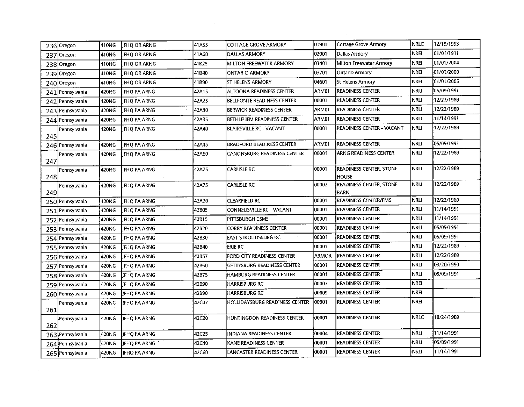|     | 236 Oregon         | 410NG | <b>JFHQ OR ARNG</b> | 41A55 | <b>COTTAGE GROVE ARMORY</b>        | 01901        | <b>Cottage Grove Armory</b>                   | <b>NRLC</b> | 12/15/1993 |
|-----|--------------------|-------|---------------------|-------|------------------------------------|--------------|-----------------------------------------------|-------------|------------|
|     | 237 Oregon         | 410NG | JFHQ OR ARNG        | 41A60 | <b>DALLAS ARMORY</b>               | 02001        | Dallas Armory                                 | NREI        | 01/01/1911 |
|     | 238 Oregon         | 410NG | <b>IFHQ OR ARNG</b> | 41B25 | <b>MILTON FREEWATER ARMORY</b>     | 03401        | Milton Freewater Armory                       | NREI        | 01/01/2004 |
|     | 239 Oregon         | 410NG | <b>IFHO OR ARNG</b> | 41B40 | IONTARIO ARMORY                    | 03701        | Ontario Armory                                | <b>NREI</b> | 01/01/2000 |
|     | 240 Oregon         | 410NG | <b>IFHO OR ARNG</b> | 41B90 | <b>ST HELENS ARMORY</b>            | 04601        | <b>St Helens Armory</b>                       | <b>NREI</b> | 01/01/2005 |
|     | 241 Pennsylvania   | 420NG | JFHQ PA ARNG        | 42A15 | ALTOONA READINESS CENTER           | ARM01        | <b>READINESS CENTER</b>                       | <b>NRLI</b> | 05/09/1991 |
|     | 242 Pennsylvania   | 420NG | JFHQ PA ARNG        | 42A25 | <b>BELLFONTE READINESS CENTER</b>  | 00001        | <b>READINESS CENTER</b>                       | NRLI        | 12/22/1989 |
|     | 243 Pennsylvania   | 420NG | JFHQ PA ARNG        | 42A30 | <b>BERWICK READINESS CENTER</b>    | ARM01        | <b>READINESS CENTER</b>                       | NRLI        | 12/22/1989 |
|     | 244 Pennsylvania   | 420NG | JFHQ PA ARNG        | 42A35 | <b>BETHLEHEM READINESS CENTER</b>  | ARM01        | <b>READINESS CENTER</b>                       | <b>NRLI</b> | 11/14/1991 |
| 245 | Pennsylvania       | 420NG | <b>JFHQ PA ARNG</b> | 42A40 | <b>BLAIRSVILLE RC - VACANT</b>     | 00001        | READINESS CENTER - VACANT                     | <b>NRLI</b> | 12/22/1989 |
|     | 246 Pennsylvania   | 420NG | JFHQ PA ARNG        | 42A45 | <b>BRADFORD READINESS CENTER</b>   | ARM01        | <b>READINESS CENTER</b>                       | <b>NRLI</b> | 05/09/1991 |
| 247 | Pennsylvania       | 420NG | JFHQ PA ARNG        | 42A60 | CANONSBURG READINESS CENTER        | 00001        | <b>ARNG READINESS CENTER</b>                  | <b>NRLI</b> | 12/22/1989 |
| 248 | Pennsylvania       | 420NG | JFHQ PA ARNG        | 42A75 | <b>CARLISLE RC</b>                 | 00001        | READINESS CENTER, STONE<br><b>HOUSE</b>       | <b>NRLI</b> | 12/22/1989 |
| 249 | Pennsylvania       | 420NG | IFHO PA ARNG        | 42A75 | <b>CARLISLE RC</b>                 | 00002        | <b>READINESS CENTER, STONE</b><br><b>BARN</b> | <b>NRLI</b> | 12/22/1989 |
|     | 250 Pennsylvania   | 420NG | JFHQ PA ARNG        | 42A90 | <b>CLEARFIELD RC</b>               | 00001        | READINESS CENTER/FMS                          | <b>NRLI</b> | 12/22/1989 |
|     | 251   Pennsylvania | 420NG | <b>JFHQ PA ARNG</b> | 42B05 | CONNELISVILLE RC - VACANT          | 00001        | <b>READINESS CENTER</b>                       | <b>NRLI</b> | 11/14/1991 |
|     | 252 Pennsylvania   | 420NG | JFHQ PA ARNG        | 42B15 | PITTSBURGH CSMS                    | 00001        | READINESS CENTER                              | <b>NRLI</b> | 11/14/1991 |
|     | 253 Pennsylvania   | 420NG | JFHQ PA ARNG        | 42B20 | <b>CORRY READINESS CENTER</b>      | 00001        | <b>READINESS CENTER</b>                       | <b>NRLI</b> | 05/09/1991 |
|     | 254 Pennsylvania   | 420NG | JFHQ PA ARNG        | 42B30 | <b>EAST STROUDSBURG RC</b>         | 00001        | <b>READINESS CENTER</b>                       | NRLI        | 05/09/1991 |
|     | 255 Pennsylvania   | 420NG | <b>IFHO PA ARNG</b> | 42B40 | <b>ERIE RC</b>                     | 00001        | <b>READINESS CENTER</b>                       | <b>NRLI</b> | 12/22/1989 |
|     | 256 Pennsylvania   | 420NG | JFHQ PA ARNG        | 42B57 | FORD CITY READINESS CENTER         | <b>ARMOR</b> | <b>READINESS CENTER</b>                       | <b>NRLI</b> | 12/22/1989 |
|     | 257 Pennsylvania   | 420NG | <b>IFHQ PA ARNG</b> | 42B60 | <b>GETTYSBURG READINESS CENTER</b> | 00001        | <b>READINESS CENTER</b>                       | <b>NRLI</b> | 03/20/1990 |
|     | 258 Pennsylvania   | 420NG | IFHQ PA ARNG        | 42B75 | HAMBURG READINESS CENTER           | 00001        | <b>READINESS CENTER</b>                       | <b>NRLI</b> | 05/09/1991 |
|     | 259 Pennsylvania   | 420NG | <b>IFHQ PA ARNG</b> | 42B90 | HARRISBURG RC                      | 00007        | <b>READINESS CENTER</b>                       | <b>NREI</b> |            |
|     | 260 Pennsylvania   | 420NG | <b>JFHQ PA ARNG</b> | 42B90 | <b>HARRISBURG RC</b>               | 00009        | <b>READINESS CENTER</b>                       | <b>NREI</b> |            |
| 261 | Pennsylvania       | 420NG | JFHQ PA ARNG        | 42C07 | HOLLIDAYSBURG READINESS CENTER     | 00001        | <b>READINESS CENTER</b>                       | <b>NREI</b> |            |
| 262 | Pennsylvania       | 420NG | <b>IFHQ PA ARNG</b> | 42C20 | HUNTINGDON READINESS CENTER        | 00001        | <b>READINESS CENTER</b>                       | <b>NRLC</b> | 10/24/1989 |
|     | 263 Pennsylvania   | 420NG | JFHQ PA ARNG        | 42C25 | <b>INDIANA READINESS CENTER</b>    | 00004        | <b>READINESS CENTER</b>                       | <b>NRLI</b> | 11/14/1991 |
|     | 264 Pennsylvania   | 420NG | JFHQ PA ARNG        | 42C40 | KANE READINESS CENTER              | 00001        | <b>READINESS CENTER</b>                       | NRLI        | 05/09/1991 |
|     | 265 Pennsylvania   | 420NG | JFHQ PA ARNG        | 42C60 | LANCASTER READINESS CENTER         | 00001        | <b>READINESS CENTER</b>                       | <b>NRLI</b> | 11/14/1991 |

 $\mathcal{L}^{\text{max}}_{\text{max}}$ 

 $\mathcal{O}(\mathcal{A}^{\mathcal{A}})$  .

 $\mathcal{A}^{\text{max}}_{\text{max}}$ 

 $\mathcal{L}(\mathcal{A})$  .

 $\sim 10^{-1}$ 

 $\label{eq:2.1} \frac{1}{2} \int_{\mathbb{R}^3} \frac{1}{\sqrt{2\pi}} \int_{\mathbb{R}^3} \frac{1}{\sqrt{2\pi}} \int_{\mathbb{R}^3} \frac{1}{\sqrt{2\pi}} \int_{\mathbb{R}^3} \frac{1}{\sqrt{2\pi}} \int_{\mathbb{R}^3} \frac{1}{\sqrt{2\pi}} \int_{\mathbb{R}^3} \frac{1}{\sqrt{2\pi}} \int_{\mathbb{R}^3} \frac{1}{\sqrt{2\pi}} \int_{\mathbb{R}^3} \frac{1}{\sqrt{2\pi}} \int_{\mathbb{R}^3}$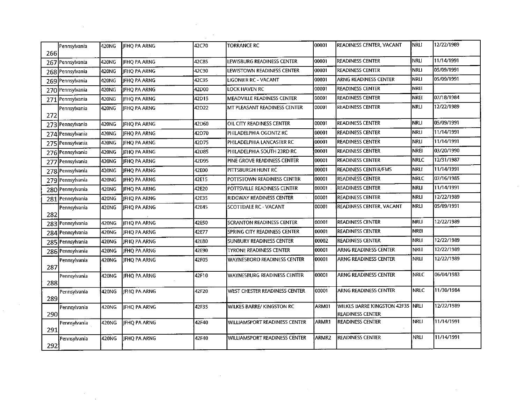| 266 | Pennsylvania       | 420NG | <b>IFHO PA ARNG</b> | 42C70 | <b>TORRANCE RC</b>                 | 00001  | <b>READINESS CENTER, VACANT</b>                             | Inrli             | 12/22/1989 |
|-----|--------------------|-------|---------------------|-------|------------------------------------|--------|-------------------------------------------------------------|-------------------|------------|
|     | 267 Pennsylvania   | 420NG | JFHQ PA ARNG        | 42C85 | LEWISBURG READINESS CENTER         | 00001  | <b>READINESS CENTER</b>                                     | <b>NRLI</b>       | 11/14/1991 |
|     | 268 Pennsylvania   | 420NG | <b>IFHO PA ARNG</b> | 42C90 | LEWISTOWN READINESS CENTER         | 00001  | <b>READINESS CENTER</b>                                     | <b>NRLI</b>       | 05/09/1991 |
|     | 269 Pennsylvania   | 420NG | IFHQ PA ARNG        | 42C95 | <b>LIGONIER RC - VACANT</b>        | 00001  | <b>ARNG READINESS CENTER</b>                                | NRLI              | 05/09/1991 |
|     | 270 Pennsylvania   | 420NG | JFHQ PA ARNG        | 42D00 | LOCK HAVEN RC                      | 00001  | <b>READINESS CENTER</b>                                     | NREI              |            |
|     | 271 Pennsylvania   | 420NG | JFHQ PA ARNG        | 42D15 | MEADVILLE READINESS CENTER         | 00001  | <b>READINESS CENTER</b>                                     | <b>NREI</b>       | 07/18/1984 |
| 272 | Pennsylvania       | 420NG | <b>IFHQ PA ARNG</b> | 42D22 | MT PLEASANT READINESS CENTER       | 00001  | READINESS CENTER                                            | <b>NRLI</b>       | 12/22/1989 |
|     | 273 Pennsylvania   | 420NG | JFHQ PA ARNG        | 42D60 | OIL CITY READINESS CENTER          | 00001  | <b>READINESS CENTER</b>                                     | <b>INRLI</b>      | 05/09/1991 |
|     | 274 Pennsylvania   | 420NG | JFHQ PA ARNG        | 42D70 | PHILADELPHIA OGONTZ RC             | 00001  | <b>READINESS CENTER</b>                                     | NRLI              | 11/14/1991 |
|     | 275   Pennsylvania | 420NG | JEHO PA ARNG        | 42D75 | PHILADELPHIA LANCASTER RC          | 00001  | <b>READINESS CENTER</b>                                     | NRLI              | 11/14/1991 |
|     | 276   Pennsylvania | 420NG | JFHQ PA ARNG        | 42D85 | PHILADELPHIA SOUTH 23RD RC         | 00001  | <b>READINESS CENTER</b>                                     | <b>NREI</b>       | 03/20/1990 |
|     | 277 Pennsylvania   | 420NG | JFHQ PA ARNG        | 42D95 | PINE GROVE READINESS CENTER        | 100001 | <b>READINESS CENTER</b>                                     | <b>NRLC</b>       | 12/31/1987 |
|     | 278 Pennsylvania   | 420NG | <b>IFHO PA ARNG</b> | 42E00 | PITTSBURGH HUNT RC                 | 00001  | <b>READINESS CENTER/FMS</b>                                 | NRLI <sup>.</sup> | 11/14/1991 |
|     | 279 Pennsylvania   | 420NG | <b>IFHO PA ARNG</b> | 42E15 | POTTSTOWN READINESS CENTER         | 00001  | <b>READINESS CENTER</b>                                     | NRLC              | 07/16/1985 |
|     | 280 Pennsylvania   | 420NC | JFHQ PA ARNG        | 42E20 | POTTSVILLE READINESS CENTER        | 00001  | <b>READINESS CENTER</b>                                     | Nrli              | 11/14/1991 |
|     | 281 Pennsylvania   | 420NG | JFHQ PA ARNG        | 42E35 | RIDGWAY READINESS CENTER           | 00001  | <b>READINESS CENTER</b>                                     | <b>NRLI</b>       | 12/22/1989 |
| 282 | Pennsylvania       | 420NG | IFHQ PA ARNG        | 42E45 | <b>SCOTTDALE RC - VACANT</b>       | 100001 | <b>READINESS CENTER, VACANT</b>                             | <b>NRLI</b>       | 05/09/1991 |
|     | 283 Pennsylvania   | 420NG | JFHQ PA ARNG        | 42E50 | <b>SCRANTON READINESS CENTER</b>   | 00001  | <b>READINESS CENTER</b>                                     | <b>NRLI</b>       | 12/22/1989 |
|     | 284 Pennsylvania   | 420NG | JFHQ PA ARNG        | 42E77 | SPRING CITY READINESS CENTER       | 100001 | <b>READINESS CENTER</b>                                     | <b>NREI</b>       |            |
|     | 285 Pennsylvania   | 420NG | <b>IFHO PA ARNG</b> | 42E80 | SUNBURY READINESS CENTER           | 100002 | <b>READINESS CENTER</b>                                     | NRLI              | 12/22/1989 |
|     | 286 Pennsylvania   | 420NG | JFHQ PA ARNG        | 42E90 | <b>TYRONE READINESS CENTER</b>     | 00001  | ARNG READINESS CENTER                                       | <b>NRLI</b>       | 12/22/1989 |
| 287 | Pennsylvania       | 420NG | IJFHO PA ARNG       | 42F05 | <b>WAYNESBORO READINESS CENTER</b> | 00001  | ARNG READINESS CENTER                                       | NRLI              | 12/22/1989 |
| 288 | Pennsylvania       | 420NG | JFHQ PA ARNG        | 42F10 | WAYNESBURG READINESS CENTER        | 00001  | ARNG READINESS CENTER                                       | <b>NRLC</b>       | 06/04/1983 |
| 289 | Pennsylvania       | 420NC | JFHQ PA ARNG        | 42F20 | WEST CHESTER READINESS CENTER      | 00001  | ARNG READINESS CENTER                                       | <b>NRLC</b>       | 11/30/1984 |
| 290 | Pennsylvania       | 420NG | JFHQ PA ARNG        | 42F35 | WILKES BARRE/ KINGSTON RC          | ARM01  | WILKES BARRE KINGSTON 42F35 NRLI<br><b>READINESS CENTER</b> |                   | 12/22/1989 |
| 291 | Pennsylvania       | 420NG | JFHQ PA ARNG        | 42F40 | WILLIAMSPORT READINESS CENTER      | ARMR1  | <b>READINESS CENTER</b>                                     | <b>NRLI</b>       | 11/14/1991 |
| 292 | Pennsylvania       | 420NG | JFHQ PA ARNG        | 42F40 | WILLIAMSPORT READINESS CENTER      | ARMR2  | <b>READINESS CENTER</b>                                     | NRLI              | 11/14/1991 |

 $\label{eq:2} \frac{1}{\sqrt{2}}\sum_{i=1}^n\frac{1}{\sqrt{2\pi}}\sum_{i=1}^n\frac{1}{\sqrt{2\pi}}\sum_{i=1}^n\frac{1}{\sqrt{2\pi}}\sum_{i=1}^n\frac{1}{\sqrt{2\pi}}\sum_{i=1}^n\frac{1}{\sqrt{2\pi}}\sum_{i=1}^n\frac{1}{\sqrt{2\pi}}\sum_{i=1}^n\frac{1}{\sqrt{2\pi}}\sum_{i=1}^n\frac{1}{\sqrt{2\pi}}\sum_{i=1}^n\frac{1}{\sqrt{2\pi}}\sum_{i=1}^n\frac{1}{$ 

 $\sim 10^6$ 

 $\hat{f}$  ,  $\hat{f}$  ,  $\hat{f}$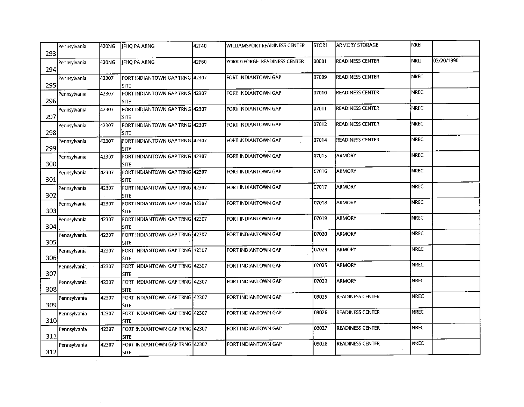| 293 | Pennsylvania | 420NG | <b>IFHQ PA ARNG</b>                           | 42F40 | WILLIAMSPORT READINESS CENTER | STOR1 | <b>ARMORY STORAGE</b>   | NREI        |            |
|-----|--------------|-------|-----------------------------------------------|-------|-------------------------------|-------|-------------------------|-------------|------------|
| 294 | Pennsylvania | 420NG | JFHQ PA ARNG                                  | 42F60 | YORK GEORGE READINESS CENTER  | 00001 | <b>READINESS CENTER</b> | <b>NRLI</b> | 03/20/1990 |
| 295 | Pennsylvania | 42307 | FORT INDIANTOWN GAP TRNG 42307<br><b>SITE</b> |       | FORT INDIANTOWN GAP           | 07009 | <b>READINESS CENTER</b> | <b>NREC</b> |            |
| 296 | Pennsylvania | 42307 | FORT INDIANTOWN GAP TRNG 42307<br><b>SITE</b> |       | FORT INDIANTOWN GAP           | 07010 | <b>READINESS CENTER</b> | <b>NREC</b> |            |
| 297 | Pennsylvania | 42307 | FORT INDIANTOWN GAP TRNG 42307<br><b>SITE</b> |       | FORT INDIANTOWN GAP           | 07011 | <b>READINESS CENTER</b> | <b>NREC</b> |            |
| 298 | Pennsylvania | 42307 | FORT INDIANTOWN GAP TRNG 42307<br><b>SITE</b> |       | FORT INDIANTOWN GAP           | 07012 | <b>READINESS CENTER</b> | <b>NREC</b> |            |
| 299 | Pennsylvania | 42307 | FORT INDIANTOWN GAP TRNG 42307<br><b>SITE</b> |       | FORT INDIANTOWN GAP           | 07014 | <b>READINESS CENTER</b> | <b>NREC</b> |            |
| 300 | Pennsylvania | 42307 | FORT INDIANTOWN GAP TRNG 42307<br><b>SITE</b> |       | FORT INDIANTOWN GAP           | 07015 | <b>ARMORY</b>           | <b>NREC</b> |            |
| 301 | Pennsylvania | 42307 | FORT INDIANTOWN GAP TRNG 42307<br><b>SITE</b> |       | FORT INDIANTOWN GAP           | 07016 | <b>ARMORY</b>           | <b>NREC</b> |            |
| 302 | Pennsylvania | 42307 | FORT INDIANTOWN GAP TRNG 42307<br><b>SITE</b> |       | FORT INDIANTOWN GAP           | 07017 | ARMORY                  | <b>NREC</b> |            |
| 303 | Pennsylvania | 42307 | FORT INDIANTOWN GAP TRNG 42307<br><b>SITE</b> |       | FORT INDIANTOWN GAP           | 07018 | <b>ARMORY</b>           | <b>NREC</b> |            |
| 304 | Pennsylvania | 42307 | FORT INDIANTOWN GAP TRNG 42307<br><b>SITE</b> |       | FORT INDIANTOWN GAP           | 07019 | <b>ARMORY</b>           | NREC        |            |
| 305 | Pennsylvania | 42307 | FORT INDIANTOWN GAP TRNG 42307<br><b>SITE</b> |       | FORT INDIANTOWN GAP           | 07020 | <b>ARMORY</b>           | <b>NREC</b> |            |
| 306 | Pennsylvania | 42307 | FORT INDIANTOWN GAP TRNG 42307<br><b>SITE</b> |       | FORT INDIANTOWN GAP           | 07024 | <b>ARMORY</b>           | NREC        |            |
| 307 | Pennsylvania | 42307 | FORT INDIANTOWN GAP TRNG 42307<br><b>SITE</b> |       | FORT INDIANTOWN GAP           | 07025 | <b>ARMORY</b>           | <b>NREC</b> |            |
| 308 | Pennsylvania | 42307 | FORT INDIANTOWN GAP TRNG 42307<br><b>SITE</b> |       | FORT INDIANTOWN GAP           | 07029 | <b>ARMORY</b>           | <b>NREC</b> | $\sim$     |
| 309 | Pennsylvania | 42307 | FORT INDIANTOWN GAP TRNG 42307<br><b>SITE</b> |       | FORT INDIANTOWN GAP           | 09025 | READINESS CENTER        | <b>NREC</b> |            |
| 310 | Pennsylvania | 42307 | FORT INDIANTOWN GAP TRNG 42307<br>isite       |       | FORT INDIANTOWN GAP           | 09026 | <b>READINESS CENTER</b> | <b>NREC</b> |            |
| 311 | Pennsylvania | 42307 | FORT INDIANTOWN GAP TRNG 42307<br><b>SITE</b> |       | FORT INDIANTOWN GAP           | 09027 | READINESS CENTER        | <b>NREC</b> |            |
| 312 | Pennsylvania | 42307 | FORT INDIANTOWN GAP TRNG 42307<br><b>SITE</b> |       | FORT INDIANTOWN GAP           | 09028 | <b>READINESS CENTER</b> | <b>NREC</b> |            |

 $\label{eq:2.1} \frac{1}{\sqrt{2}}\int_{\mathbb{R}^3}\frac{1}{\sqrt{2}}\left(\frac{1}{\sqrt{2}}\right)^2\frac{1}{\sqrt{2}}\left(\frac{1}{\sqrt{2}}\right)^2\frac{1}{\sqrt{2}}\left(\frac{1}{\sqrt{2}}\right)^2\frac{1}{\sqrt{2}}\left(\frac{1}{\sqrt{2}}\right)^2.$ 

 $\mathcal{L}^{\text{max}}_{\text{max}}$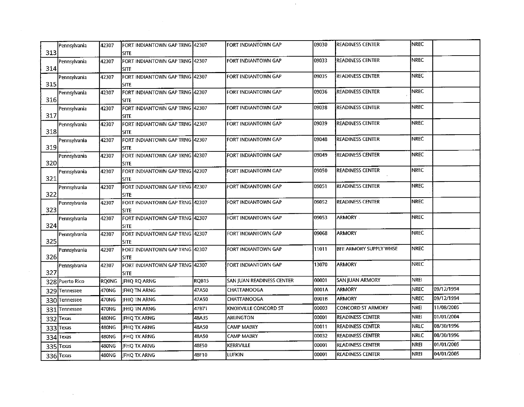| 313 | Pennsylvania    | 42307 | FORT INDIANTOWN GAP TRNG 42307<br><b>SITE</b>  |       | FORT INDIANTOWN GAP       | 09030 | <b>READINESS CENTER</b> | NREC        |            |
|-----|-----------------|-------|------------------------------------------------|-------|---------------------------|-------|-------------------------|-------------|------------|
| 314 | Pennsylvania    | 42307 | FORT INDIANTOWN GAP TRNG 42307<br><b>SITE</b>  |       | FORT INDIANTOWN GAP       | 09033 | READINESS CENTER        | <b>NREC</b> |            |
| 315 | Pennsylvania    | 42307 | FORT INDIANTOWN GAP TRNG 42307<br><b>SITE</b>  |       | FORT INDIANTOWN GAP       | 09035 | READINESS CENTER        | <b>NREC</b> |            |
| 316 | Pennsylvania    | 42307 | FORT INDIANTOWN GAP TRNG [42307<br><b>SITE</b> |       | FORT INDIANTOWN GAP       | 09036 | <b>READINESS CENTER</b> | <b>NREC</b> |            |
| 317 | Pennsylvania    | 42307 | FORT INDIANTOWN GAP TRNG 42307<br><b>SITE</b>  |       | FORT INDIANTOWN GAP       | 09038 | READINESS CENTER        | NREC        |            |
| 318 | Pennsylvania    | 42307 | FORT INDIANTOWN GAP TRNG 42307<br><b>SITE</b>  |       | FORT INDIANTOWN GAP       | 09039 | <b>READINESS CENTER</b> | <b>NREC</b> |            |
| 319 | Pennsylvania    | 42307 | FORT INDIANTOWN GAP TRNG 42307<br><b>SITE</b>  |       | FORT INDIANTOWN GAP       | 09048 | <b>READINESS CENTER</b> | <b>NREC</b> |            |
| 320 | Pennsylvania    | 42307 | FORT INDIANTOWN GAP TRNG 42307<br><b>SITE</b>  |       | FORT INDIANTOWN GAP       | 09049 | <b>READINESS CENTER</b> | <b>NREC</b> |            |
| 321 | Pennsylvania    | 42307 | FORT INDIANTOWN GAP TRNG 42307<br><b>SITE</b>  |       | FORT INDIANTOWN GAP       | 09050 | <b>READINESS CENTER</b> | <b>NREC</b> |            |
| 322 | Pennsylvania    | 42307 | FORT INDIANTOWN GAP TRNG 42307<br><b>SITE</b>  |       | FORT INDIANTOWN GAP       | 09051 | READINESS CENTER        | <b>NREC</b> |            |
| 323 | Pennsylvania    | 42307 | FORT INDIANTOWN GAP TRNG 42307<br><b>SITE</b>  |       | FORT INDIANTOWN GAP       | 09052 | <b>READINESS CENTER</b> | <b>NREC</b> |            |
| 324 | Pennsylvania    | 42307 | FORT INDIANTOWN GAP TRNG 42307<br><b>SITE</b>  |       | FORT INDIANTOWN GAP       | 09053 | <b>ARMORY</b>           | <b>NREC</b> |            |
| 325 | Pennsylvania    | 42307 | FORT INDIANTOWN GAP TRNG 42307<br><b>SITE</b>  |       | FORT INDIANTOWN GAP       | 09068 | <b>ARMORY</b>           | <b>NREC</b> |            |
| 326 | Pennsylvania    | 42307 | FORT INDIANTOWN GAP TRNG 42307<br><b>SITE</b>  |       | FORT INDIANTOWN GAP       | 11011 | BFE ARMORY SUPPLY WHSE  | <b>NREC</b> |            |
| 327 | Pennsylvania    | 42307 | FORT INDIANTOWN GAP TRNG 42307<br><b>SITE</b>  |       | FORT INDIANTOWN GAP       | 13070 | <b>ARMORY</b>           | <b>NREC</b> |            |
|     | 328 Puerto Rico | ROONG | JFHQ RQ ARNG                                   | RQB15 | SAN JUAN READINESS CENTER | 00001 | SAN JUAN ARMORY         | <b>NREI</b> |            |
|     | 329 Tennessee   | 470NG | JFHQ TN ARNG                                   | 47A50 | CHATTANOOGA               | 0001A | <b>ARMORY</b>           | <b>NREC</b> | 09/12/1994 |
|     | 330 Tennessee   | 470NG | JFHQ TN ARNG                                   | 47A50 | CHATTANOOGA               | 0001B | <b>ARMORY</b>           | <b>NREC</b> | 09/12/1994 |
|     | 331 Tennessee   | 470NG | JFHQ TN ARNG                                   | 47B71 | KNOXVILLE CONCORD ST      | 00003 | CONCORD ST ARMORY       | NREI        | 11/08/2005 |
|     | 332 Texas       | 480NG | <b>JFHQ TX ARNG</b>                            | 48A35 | <b>ARLINGTON</b>          | 00001 | <b>READINESS CENTER</b> | NREI        | 01/01/2004 |
|     | 333 Texas       | 480NG | JFHQ TX ARNG                                   | 48A50 | CAMP MABRY                | 00011 | <b>READINESS CENTER</b> | NRLC        | 08/30/1996 |
| 334 | Texas           | 480NG | JFHQ TX ARNG                                   | 48A50 | CAMP MABRY                | 00032 | <b>READINESS CENTER</b> | <b>NRLC</b> | 08/30/1996 |
|     | $335$ Texas     | 480NG | JFHQ TX ARNG                                   | 48E50 | <b>KERRVILLE</b>          | 00001 | <b>READINESS CENTER</b> | <b>NREI</b> | 01/01/2005 |
|     | 336 Texas       | 480NG | JFHQ TX ARNG                                   | 48F10 | <b>LUFKIN</b>             | 00001 | <b>READINESS CENTER</b> | <b>NREI</b> | 04/01/2005 |

 $\label{eq:2.1} \frac{1}{\sqrt{2}}\int_{\mathbb{R}^3} \frac{d\mu}{\mu} \left( \frac{d\mu}{\mu} \right)^2 \frac{d\mu}{\mu} \left( \frac{d\mu}{\mu} \right)^2 \frac{d\mu}{\mu} \left( \frac{d\mu}{\mu} \right)^2 \frac{d\mu}{\mu} \left( \frac{d\mu}{\mu} \right)^2 \frac{d\mu}{\mu} \left( \frac{d\mu}{\mu} \right)^2 \frac{d\mu}{\mu} \left( \frac{d\mu}{\mu} \right)^2 \frac{d\mu}{\mu} \left( \frac{d\mu}{\mu} \right)^2$ 

 $\mathcal{L}^{\mathcal{L}}(\mathcal{L}^{\mathcal{L}}(\mathcal{L}))$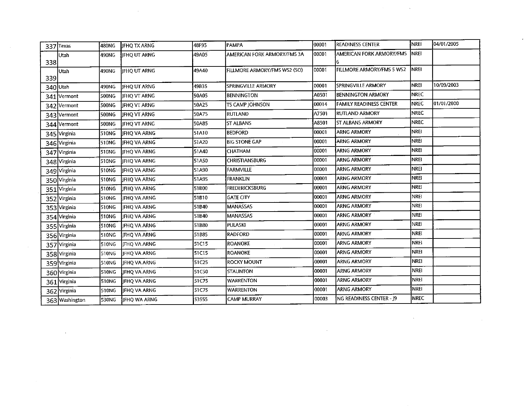|      | 337 Texas      | 480NG | <b>JFHQ TX ARNG</b> | 48F95 | PAMPA                        | 100001 | <b>READINESS CENTER</b>          | INREI        | 04/01/2005 |
|------|----------------|-------|---------------------|-------|------------------------------|--------|----------------------------------|--------------|------------|
| 338  | Utah           | 490NG | <b>IFHQ UT ARNG</b> | 49A05 | AMERICAN FORK ARMORY/FMS 3A  | 00001  | AMERICAN FORK ARMORY/FMS         | <b>INREI</b> |            |
| 339  | Utah           | 490NG | IIFHO UT ARNG       | 49A40 | FILLMORE ARMORY/FMS WS2 (SO) | 00001  | <b>FILLMORE ARMORY/FMS 5 WS2</b> | <b>INREL</b> |            |
|      | 340 Utah       | 490NG | <b>JFHQ UT ARNG</b> | 49B35 | SPRINGVILLE ARMORY           | 00001  | <b>SPRINGVILLE ARMORY</b>        | <b>NREI</b>  | 10/09/2003 |
|      | 341 Vermont    | 500NG | JFHQ VT ARNG        | 50A05 | <b>BENNINGTON</b>            | A0501  | <b>BENNINGTON ARMORY</b>         | <b>INREC</b> |            |
|      | 342 Vermont    | 500NG | JFHQ VT ARNG        | 50A25 | TS CAMP JOHNSON              | 00014  | <b>FAMILY READINESS CENTER</b>   | <b>NREC</b>  | 01/01/2000 |
|      | 343 Vermont    | 500NG | JFHQ VT ARNG        | 50A75 | RUTLAND                      | A7501  | <b>RUTLAND ARMORY</b>            | [NREC        |            |
|      | 344 Vermont    | 500NG | <b>IFHQ VT ARNG</b> | 50A85 | <b>ST ALBANS</b>             | A8501  | <b>ST ALBANS ARMORY</b>          | <b>INREC</b> |            |
|      | 345 Virginia   | 510NG | <b>JFHQ VA ARNG</b> | 51A10 | <b>BEDFORD</b>               | 00001  | <b>ARNG ARMORY</b>               | <b>NREI</b>  |            |
|      | 346 Virginia   | 510NG | JFHQ VA ARNG        | 51A20 | <b>BIG STONE GAP</b>         | 00001  | <b>ARNG ARMORY</b>               | NREI         |            |
| 347I | Virginia       | 510NG | JFHQ VA ARNG        | 51A40 | CHATHAM                      | 00001  | <b>ARNG ARMORY</b>               | <b>NREI</b>  |            |
|      | 348 Virginia   | 510NG | IFHQ VA ARNG        | 51A50 | <b>CHRISTIANSBURG</b>        | 00001  | <b>ARNG ARMORY</b>               | <b>NREI</b>  |            |
|      | 349 Virginia   | 510NG | <b>JFHQ VA ARNG</b> | 51A90 | <b>FARMVILLE</b>             | 00001  | <b>ARNG ARMORY</b>               | <b>NREI</b>  |            |
|      | 350 Virginia   | 510NG | <b>IFHO VA ARNG</b> | 51A95 | <b>FRANKLIN</b>              | 00001  | <b>ARNG ARMORY</b>               | Inrei        |            |
|      | 351 Virginia   | 510NG | JFHQ VA ARNG        | 51B00 | <b>FREDERICKSBURG</b>        | 00001  | <b>ARNG ARMORY</b>               | NREI         |            |
|      | 352 Virginia   | 510NG | <b>JFHQ VA ARNG</b> | 51B10 | <b>GATE CITY</b>             | 100001 | ARNG ARMORY                      | <b>NREI</b>  |            |
|      | 353 Virginia   | 510NG | <b>JFHQ VA ARNG</b> | 51B40 | <b>MANASSAS</b>              | 100001 | <b>ARNG ARMORY</b>               | <b>NREI</b>  |            |
|      | 354 Virginia   | 510NG | <b>IFHO VA ARNG</b> | 51B40 | <b>MANASSAS</b>              | 100001 | ARNG ARMORY                      | İNREI        |            |
|      | 355 Virginia   | 510NG | JFHQ VA ARNG        | 51B80 | PULASKI                      | 00001  | <b>ARNG ARMORY</b>               | <b>NREI</b>  |            |
|      | 356 Virginia   | 510NG | <b>JFHQ VA ARNG</b> | 51B85 | <b>RADFORD</b>               | 100001 | <b>ARNG ARMORY</b>               | NREI         |            |
|      | 357 Virginia   | 510NG | <b>IFHQ VA ARNG</b> | 51C15 | <b>ROANOKE</b>               | 00001  | <b>ARNG ARMORY</b>               | <b>NREI</b>  |            |
|      | 358 Virginia   | 510NG | <b>IFHO VA ARNG</b> | 51C15 | <b>ROANOKE</b>               | 00001  | <b>ARNG ARMORY</b>               | <b>NREI</b>  |            |
|      | 359 Virginia   | 510NG | JFHQ VA ARNG        | 51C25 | <b>ROCKY MOUNT</b>           | 00001  | <b>ARNG ARMORY</b>               | <b>NREI</b>  |            |
|      | 360 Virginia   | 510NG | JFHQ VA ARNG        | 51C50 | <b>STAUNTON</b>              | 00001  | <b>ARNG ARMORY</b>               | NREI         |            |
|      | 361 Virginia   | 510NG | <b>IFHQ VA ARNG</b> | 51C75 | <b>WARRENTON</b>             | 100001 | <b>ARNG ARMORY</b>               | NREI         |            |
|      | 362 Virginia   | 510NG | JFHQ VA ARNG        | 51C75 | <b>WARRENTON</b>             | 00001  | <b>ARNG ARMORY</b>               | Inrei        |            |
|      | 363 Washington | 530NG | JFHQ WA ARNG        | 53555 | <b>CAMP MURRAY</b>           | 00003  | NG READINESS CENTER - J9         | Inrec        |            |

 $\mathcal{L}^{\text{max}}_{\text{max}}$  and  $\mathcal{L}^{\text{max}}_{\text{max}}$ 

 $\label{eq:2.1} \frac{1}{\sqrt{2}}\left(\frac{1}{\sqrt{2}}\right)^{2} \left(\frac{1}{\sqrt{2}}\right)^{2} \left(\frac{1}{\sqrt{2}}\right)^{2} \left(\frac{1}{\sqrt{2}}\right)^{2} \left(\frac{1}{\sqrt{2}}\right)^{2} \left(\frac{1}{\sqrt{2}}\right)^{2} \left(\frac{1}{\sqrt{2}}\right)^{2} \left(\frac{1}{\sqrt{2}}\right)^{2} \left(\frac{1}{\sqrt{2}}\right)^{2} \left(\frac{1}{\sqrt{2}}\right)^{2} \left(\frac{1}{\sqrt{2}}\right)^{2} \left(\$ 

 $\label{eq:2.1} \mathcal{L}^{\text{max}}_{\text{max}}(\mathbf{r},\mathbf{r}) = \mathcal{L}^{\text{max}}_{\text{max}}(\mathbf{r},\mathbf{r})$ 

 $\mathcal{L}(\mathcal{L}(\mathcal{L}(\mathcal{L}(\mathcal{L}(\mathcal{L}(\mathcal{L}(\mathcal{L}(\mathcal{L}(\mathcal{L}(\mathcal{L}(\mathcal{L}(\mathcal{L}(\mathcal{L}(\mathcal{L}(\mathcal{L}(\mathcal{L}(\mathcal{L}(\mathcal{L}(\mathcal{L}(\mathcal{L}(\mathcal{L}(\mathcal{L}(\mathcal{L}(\mathcal{L}(\mathcal{L}(\mathcal{L}(\mathcal{L}(\mathcal{L}(\mathcal{L}(\mathcal{L}(\mathcal{L}(\mathcal{L}(\mathcal{L}(\mathcal{L}(\mathcal{L}(\mathcal{$ 

 $\mathcal{L}(\mathcal{L}(\mathcal{L}))$  and  $\mathcal{L}(\mathcal{L}(\mathcal{L}))$  . The contribution of  $\mathcal{L}(\mathcal{L})$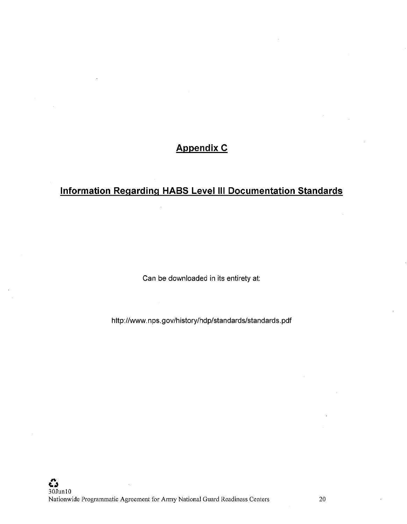## **Appendix C**

# **Information Regarding HABS Level** Ill **Documentation Standards**

Can be downloaded in its entirety at:

http://www.nps.gov/history/hdp/standards/standards.pdf

 $\sim$